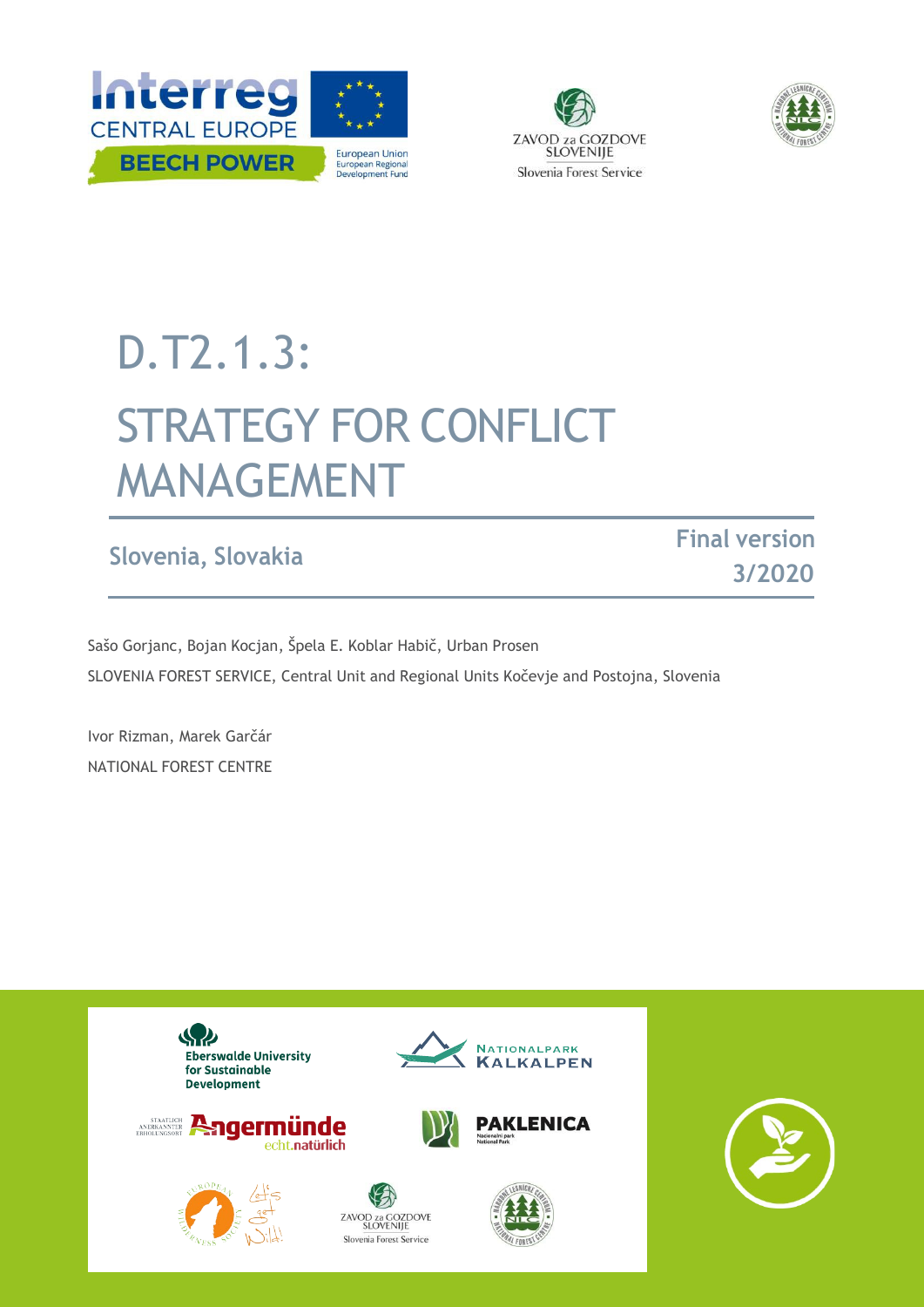





# D.T2.1.3: STRATEGY FOR CONFLICT MANAGEMENT

# **Slovenia, Slovakia Final version**

**3/2020**

Sašo Gorjanc, Bojan Kocjan, Špela E. Koblar Habič, Urban Prosen SLOVENIA FOREST SERVICE, Central Unit and Regional Units Kočevje and Postojna, Slovenia

Ivor Rizman, Marek Garčár NATIONAL FOREST CENTRE

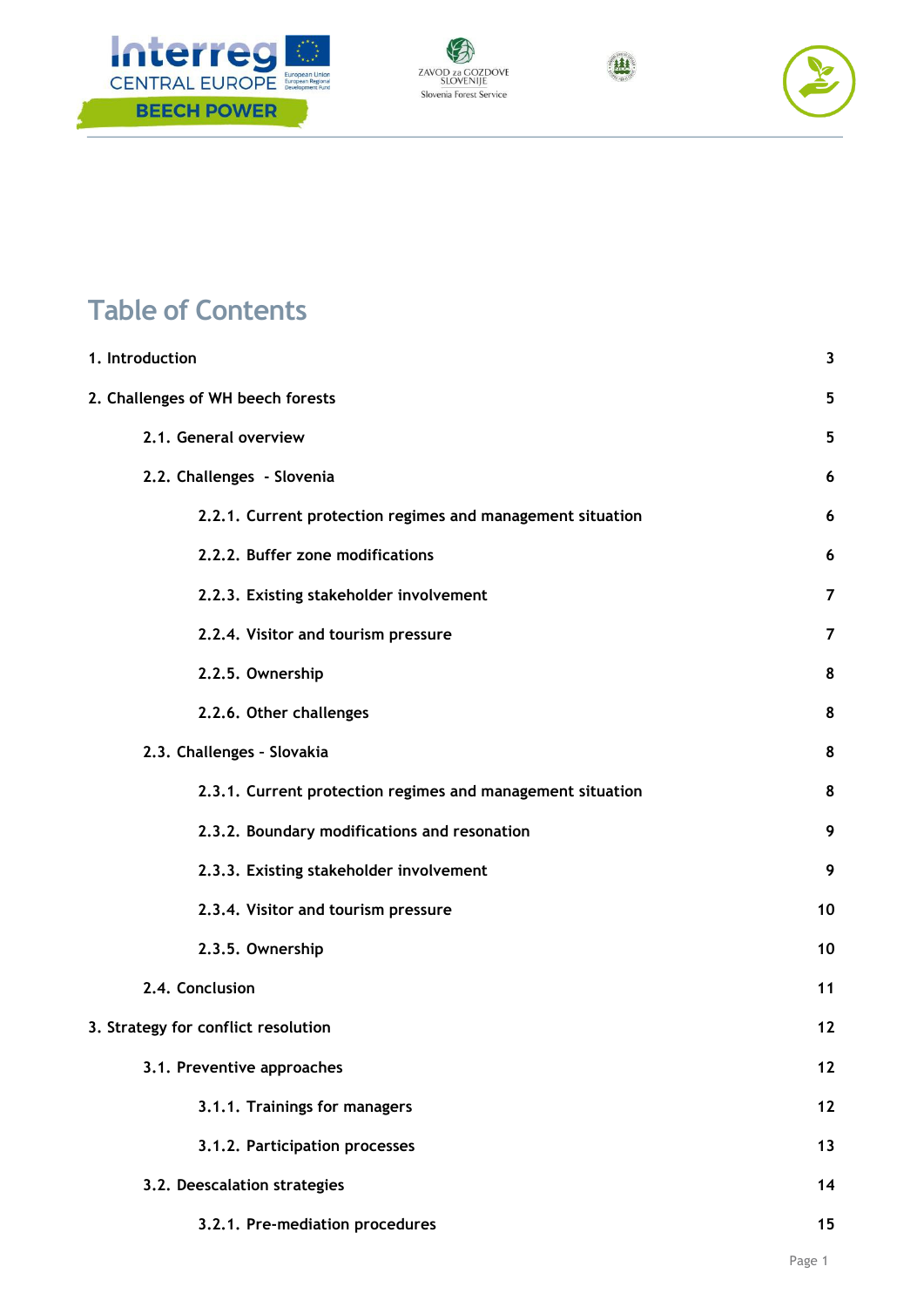







# **Table of Contents**

| 1. Introduction                                            | 3              |  |  |
|------------------------------------------------------------|----------------|--|--|
| 2. Challenges of WH beech forests                          | 5              |  |  |
| 2.1. General overview                                      | 5              |  |  |
| 2.2. Challenges - Slovenia                                 | 6              |  |  |
| 2.2.1. Current protection regimes and management situation | 6              |  |  |
| 2.2.2. Buffer zone modifications                           | 6              |  |  |
| 2.2.3. Existing stakeholder involvement                    | $\overline{7}$ |  |  |
| 2.2.4. Visitor and tourism pressure                        | 7              |  |  |
| 2.2.5. Ownership                                           | 8              |  |  |
| 2.2.6. Other challenges                                    | 8              |  |  |
| 2.3. Challenges - Slovakia                                 | 8              |  |  |
| 2.3.1. Current protection regimes and management situation | 8              |  |  |
| 2.3.2. Boundary modifications and resonation               | 9              |  |  |
| 2.3.3. Existing stakeholder involvement                    | 9              |  |  |
| 2.3.4. Visitor and tourism pressure                        | 10             |  |  |
| 2.3.5. Ownership                                           | 10             |  |  |
| 2.4. Conclusion                                            |                |  |  |
| 3. Strategy for conflict resolution                        | 12             |  |  |
| 3.1. Preventive approaches                                 | 12             |  |  |
| 3.1.1. Trainings for managers                              | $12$           |  |  |
| 3.1.2. Participation processes                             | 13             |  |  |
| 3.2. Deescalation strategies                               | 14             |  |  |
| 3.2.1. Pre-mediation procedures                            | 15             |  |  |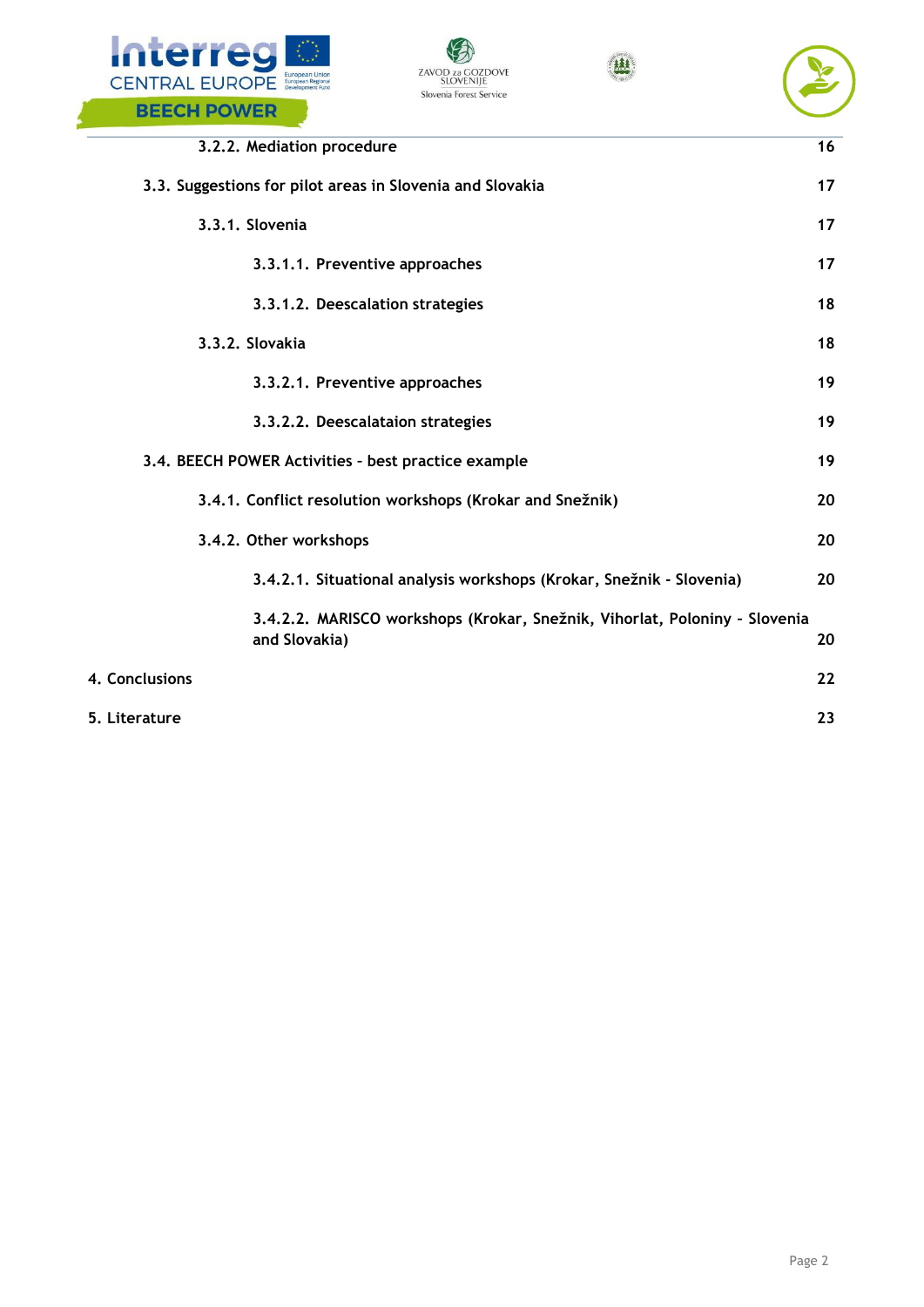







|                | 3.2.2. Mediation procedure                                                                  | 16 |
|----------------|---------------------------------------------------------------------------------------------|----|
|                | 3.3. Suggestions for pilot areas in Slovenia and Slovakia                                   | 17 |
|                | 3.3.1. Slovenia                                                                             | 17 |
|                | 3.3.1.1. Preventive approaches                                                              | 17 |
|                | 3.3.1.2. Deescalation strategies                                                            | 18 |
|                | 3.3.2. Slovakia                                                                             | 18 |
|                | 3.3.2.1. Preventive approaches                                                              | 19 |
|                | 3.3.2.2. Deescalataion strategies                                                           | 19 |
|                | 3.4. BEECH POWER Activities - best practice example                                         | 19 |
|                | 3.4.1. Conflict resolution workshops (Krokar and Snežnik)                                   | 20 |
|                | 3.4.2. Other workshops                                                                      | 20 |
|                | 3.4.2.1. Situational analysis workshops (Krokar, Snežnik - Slovenia)                        | 20 |
|                | 3.4.2.2. MARISCO workshops (Krokar, Snežnik, Vihorlat, Poloniny - Slovenia<br>and Slovakia) | 20 |
| 4. Conclusions |                                                                                             | 22 |
| 5. Literature  |                                                                                             | 23 |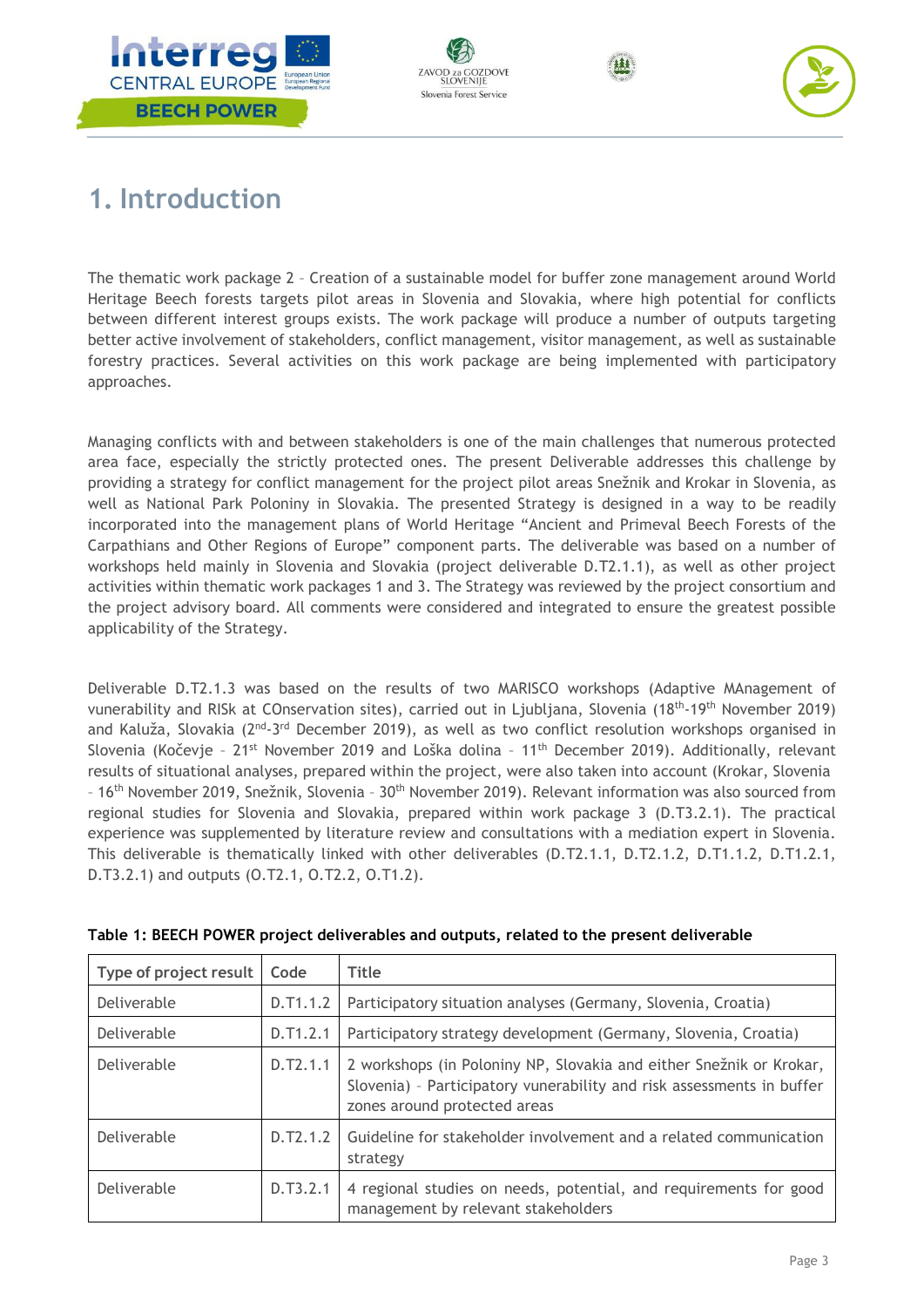







# <span id="page-3-0"></span>**1. Introduction**

The thematic work package 2 – Creation of a sustainable model for buffer zone management around World Heritage Beech forests targets pilot areas in Slovenia and Slovakia, where high potential for conflicts between different interest groups exists. The work package will produce a number of outputs targeting better active involvement of stakeholders, conflict management, visitor management, as well as sustainable forestry practices. Several activities on this work package are being implemented with participatory approaches.

Managing conflicts with and between stakeholders is one of the main challenges that numerous protected area face, especially the strictly protected ones. The present Deliverable addresses this challenge by providing a strategy for conflict management for the project pilot areas Snežnik and Krokar in Slovenia, as well as National Park Poloniny in Slovakia. The presented Strategy is designed in a way to be readily incorporated into the management plans of World Heritage "Ancient and Primeval Beech Forests of the Carpathians and Other Regions of Europe" component parts. The deliverable was based on a number of workshops held mainly in Slovenia and Slovakia (project deliverable D.T2.1.1), as well as other project activities within thematic work packages 1 and 3. The Strategy was reviewed by the project consortium and the project advisory board. All comments were considered and integrated to ensure the greatest possible applicability of the Strategy.

Deliverable D.T2.1.3 was based on the results of two MARISCO workshops (Adaptive MAnagement of vunerability and RISk at COnservation sites), carried out in Ljubljana, Slovenia (18th-19th November 2019) and Kaluža, Slovakia (2<sup>nd</sup>-3<sup>rd</sup> December 2019), as well as two conflict resolution workshops organised in Slovenia (Kočevje - 21<sup>st</sup> November 2019 and Loška dolina - 11<sup>th</sup> December 2019). Additionally, relevant results of situational analyses, prepared within the project, were also taken into account (Krokar, Slovenia – 16th November 2019, Snežnik, Slovenia – 30th November 2019). Relevant information was also sourced from regional studies for Slovenia and Slovakia, prepared within work package 3 (D.T3.2.1). The practical experience was supplemented by literature review and consultations with a mediation expert in Slovenia. This deliverable is thematically linked with other deliverables (D.T2.1.1, D.T2.1.2, D.T1.1.2, D.T1.2.1, D.T3.2.1) and outputs (O.T2.1, O.T2.2, O.T1.2).

| Type of project result | Code     | <b>Title</b>                                                                                                                                                                 |
|------------------------|----------|------------------------------------------------------------------------------------------------------------------------------------------------------------------------------|
| Deliverable            | D.T1.1.2 | Participatory situation analyses (Germany, Slovenia, Croatia)                                                                                                                |
| Deliverable            | D.T1.2.1 | Participatory strategy development (Germany, Slovenia, Croatia)                                                                                                              |
| Deliverable            | D.T2.1.1 | 2 workshops (in Poloniny NP, Slovakia and either Snežnik or Krokar,<br>Slovenia) - Participatory vunerability and risk assessments in buffer<br>zones around protected areas |
| Deliverable            | D.T2.1.2 | Guideline for stakeholder involvement and a related communication<br>strategy                                                                                                |
| Deliverable            | D.T3.2.1 | 4 regional studies on needs, potential, and requirements for good<br>management by relevant stakeholders                                                                     |

#### **Table 1: BEECH POWER project deliverables and outputs, related to the present deliverable**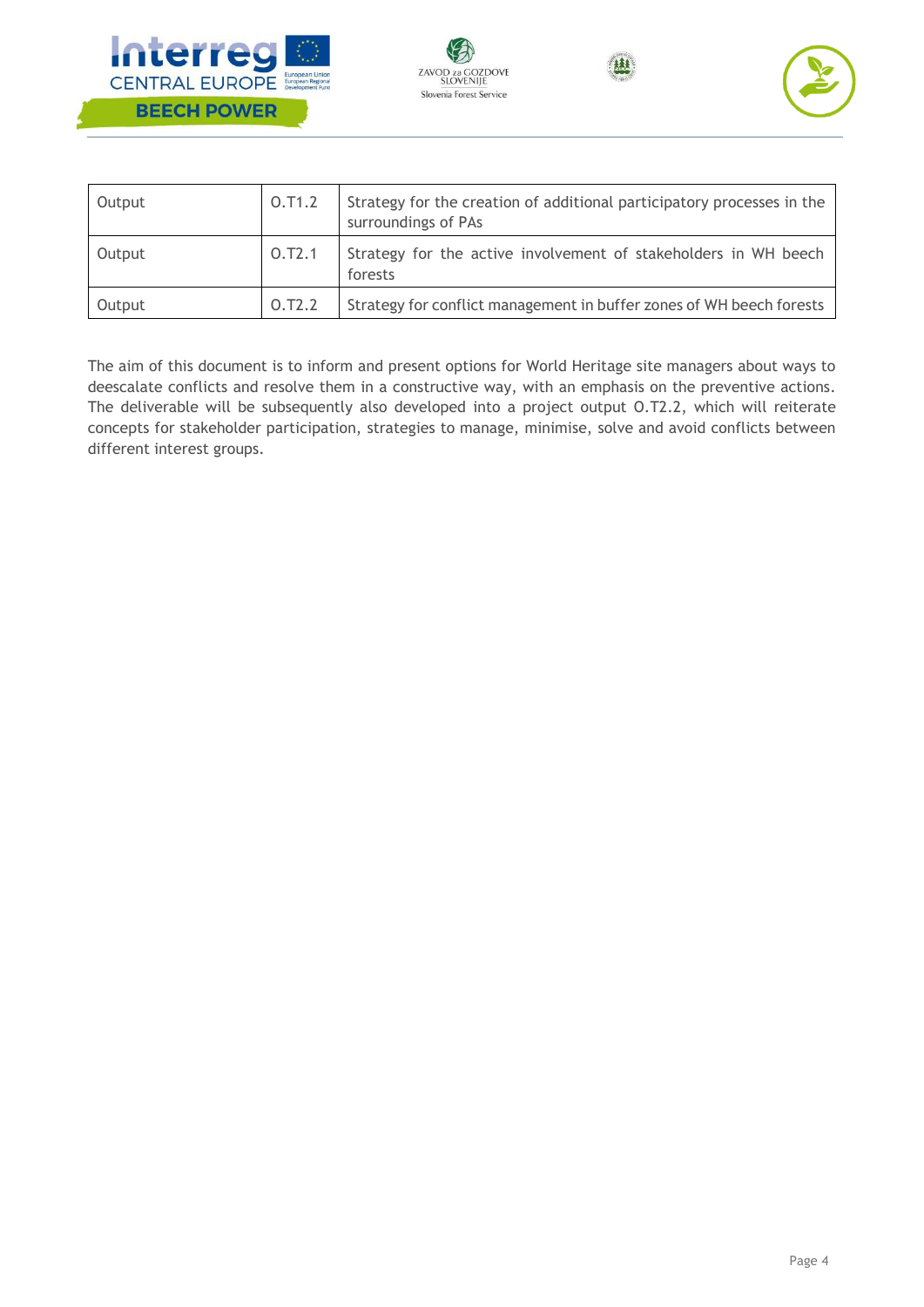







| Output | 0.71.2 | Strategy for the creation of additional participatory processes in the<br>surroundings of PAs |
|--------|--------|-----------------------------------------------------------------------------------------------|
| Output | O.T2.1 | Strategy for the active involvement of stakeholders in WH beech<br>forests                    |
| Output | 0.72.2 | Strategy for conflict management in buffer zones of WH beech forests                          |

The aim of this document is to inform and present options for World Heritage site managers about ways to deescalate conflicts and resolve them in a constructive way, with an emphasis on the preventive actions. The deliverable will be subsequently also developed into a project output O.T2.2, which will reiterate concepts for stakeholder participation, strategies to manage, minimise, solve and avoid conflicts between different interest groups.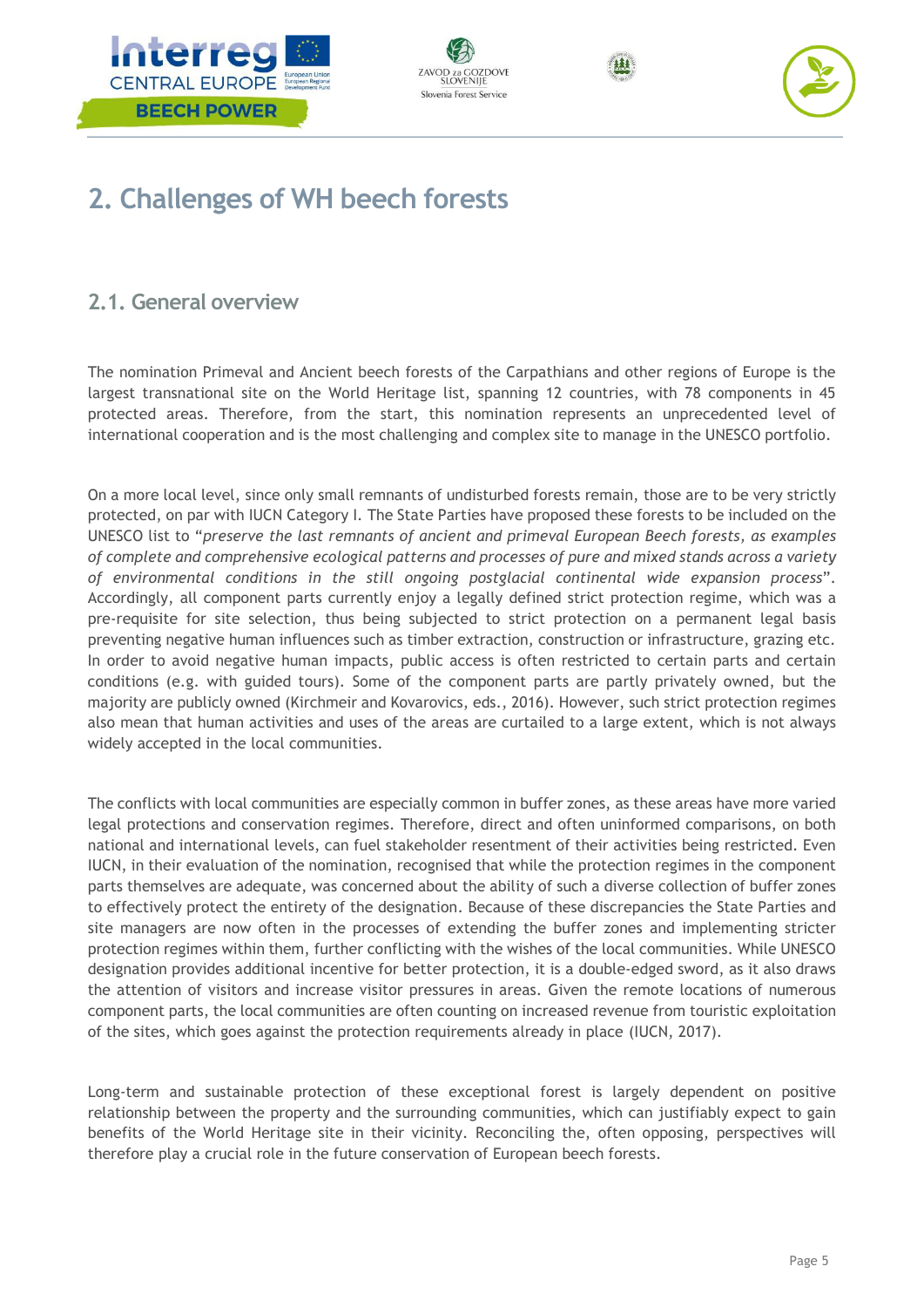







# <span id="page-5-0"></span>**2. Challenges of WH beech forests**

# <span id="page-5-1"></span>**2.1. General overview**

The nomination Primeval and Ancient beech forests of the Carpathians and other regions of Europe is the largest transnational site on the World Heritage list, spanning 12 countries, with 78 components in 45 protected areas. Therefore, from the start, this nomination represents an unprecedented level of international cooperation and is the most challenging and complex site to manage in the UNESCO portfolio.

On a more local level, since only small remnants of undisturbed forests remain, those are to be very strictly protected, on par with IUCN Category I. The State Parties have proposed these forests to be included on the UNESCO list to "*preserve the last remnants of ancient and primeval European Beech forests, as examples of complete and comprehensive ecological patterns and processes of pure and mixed stands across a variety of environmental conditions in the still ongoing postglacial continental wide expansion process*". Accordingly, all component parts currently enjoy a legally defined strict protection regime, which was a pre-requisite for site selection, thus being subjected to strict protection on a permanent legal basis preventing negative human influences such as timber extraction, construction or infrastructure, grazing etc. In order to avoid negative human impacts, public access is often restricted to certain parts and certain conditions (e.g. with guided tours). Some of the component parts are partly privately owned, but the majority are publicly owned (Kirchmeir and Kovarovics, eds., 2016). However, such strict protection regimes also mean that human activities and uses of the areas are curtailed to a large extent, which is not always widely accepted in the local communities.

The conflicts with local communities are especially common in buffer zones, as these areas have more varied legal protections and conservation regimes. Therefore, direct and often uninformed comparisons, on both national and international levels, can fuel stakeholder resentment of their activities being restricted. Even IUCN, in their evaluation of the nomination, recognised that while the protection regimes in the component parts themselves are adequate, was concerned about the ability of such a diverse collection of buffer zones to effectively protect the entirety of the designation. Because of these discrepancies the State Parties and site managers are now often in the processes of extending the buffer zones and implementing stricter protection regimes within them, further conflicting with the wishes of the local communities. While UNESCO designation provides additional incentive for better protection, it is a double-edged sword, as it also draws the attention of visitors and increase visitor pressures in areas. Given the remote locations of numerous component parts, the local communities are often counting on increased revenue from touristic exploitation of the sites, which goes against the protection requirements already in place (IUCN, 2017).

Long-term and sustainable protection of these exceptional forest is largely dependent on positive relationship between the property and the surrounding communities, which can justifiably expect to gain benefits of the World Heritage site in their vicinity. Reconciling the, often opposing, perspectives will therefore play a crucial role in the future conservation of European beech forests.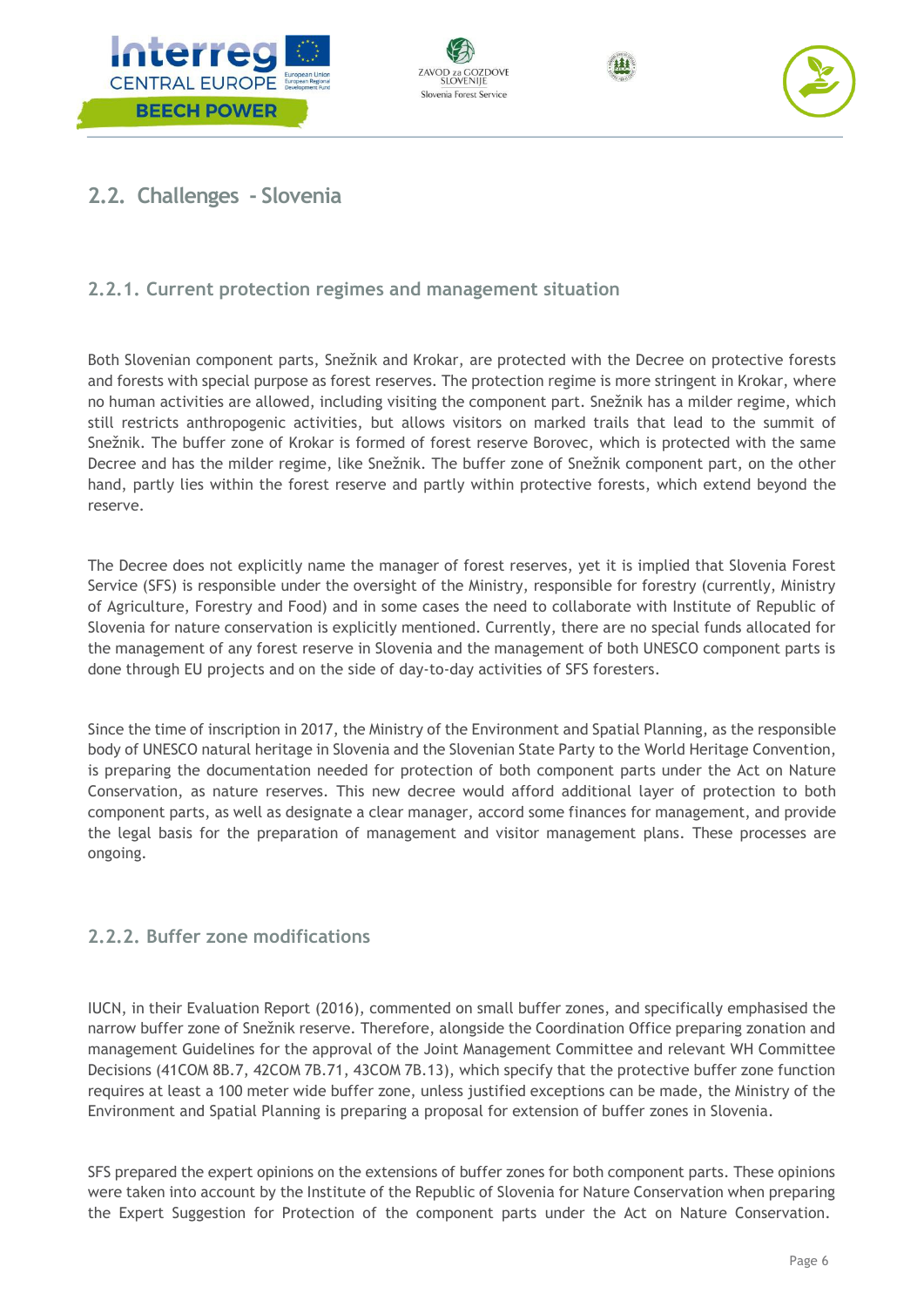







# <span id="page-6-0"></span>**2.2. Challenges - Slovenia**

# <span id="page-6-1"></span>**2.2.1. Current protection regimes and management situation**

Both Slovenian component parts, Snežnik and Krokar, are protected with the Decree on protective forests and forests with special purpose as forest reserves. The protection regime is more stringent in Krokar, where no human activities are allowed, including visiting the component part. Snežnik has a milder regime, which still restricts anthropogenic activities, but allows visitors on marked trails that lead to the summit of Snežnik. The buffer zone of Krokar is formed of forest reserve Borovec, which is protected with the same Decree and has the milder regime, like Snežnik. The buffer zone of Snežnik component part, on the other hand, partly lies within the forest reserve and partly within protective forests, which extend beyond the reserve.

The Decree does not explicitly name the manager of forest reserves, yet it is implied that Slovenia Forest Service (SFS) is responsible under the oversight of the Ministry, responsible for forestry (currently, Ministry of Agriculture, Forestry and Food) and in some cases the need to collaborate with Institute of Republic of Slovenia for nature conservation is explicitly mentioned. Currently, there are no special funds allocated for the management of any forest reserve in Slovenia and the management of both UNESCO component parts is done through EU projects and on the side of day-to-day activities of SFS foresters.

Since the time of inscription in 2017, the Ministry of the Environment and Spatial Planning, as the responsible body of UNESCO natural heritage in Slovenia and the Slovenian State Party to the World Heritage Convention, is preparing the documentation needed for protection of both component parts under the Act on Nature Conservation, as nature reserves. This new decree would afford additional layer of protection to both component parts, as well as designate a clear manager, accord some finances for management, and provide the legal basis for the preparation of management and visitor management plans. These processes are ongoing.

## <span id="page-6-2"></span>**2.2.2. Buffer zone modifications**

IUCN, in their Evaluation Report (2016), commented on small buffer zones, and specifically emphasised the narrow buffer zone of Snežnik reserve. Therefore, alongside the Coordination Office preparing zonation and management Guidelines for the approval of the Joint Management Committee and relevant WH Committee Decisions (41COM 8B.7, 42COM 7B.71, 43COM 7B.13), which specify that the protective buffer zone function requires at least a 100 meter wide buffer zone, unless justified exceptions can be made, the Ministry of the Environment and Spatial Planning is preparing a proposal for extension of buffer zones in Slovenia.

SFS prepared the expert opinions on the extensions of buffer zones for both component parts. These opinions were taken into account by the Institute of the Republic of Slovenia for Nature Conservation when preparing the Expert Suggestion for Protection of the component parts under the Act on Nature Conservation.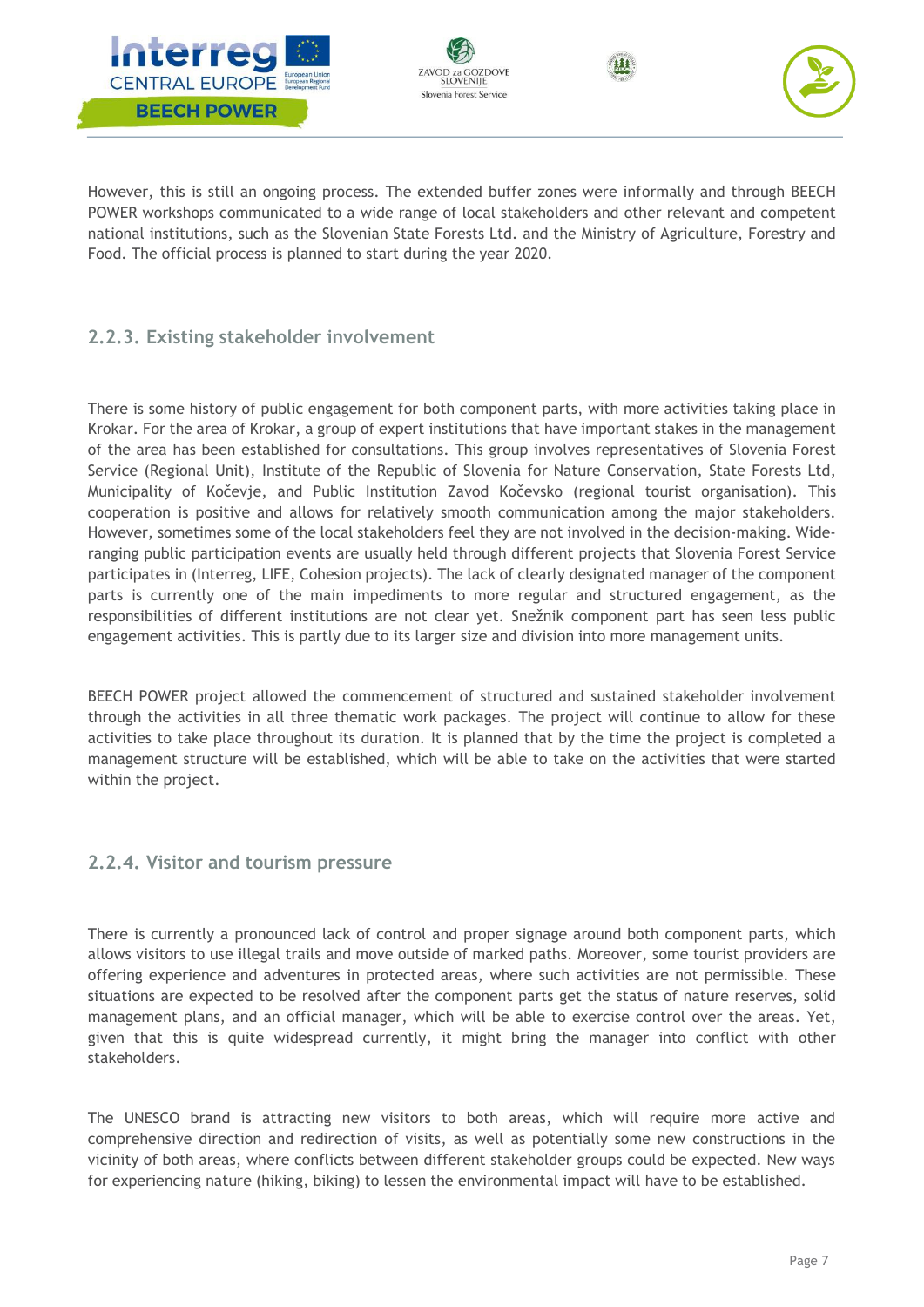







However, this is still an ongoing process. The extended buffer zones were informally and through BEECH POWER workshops communicated to a wide range of local stakeholders and other relevant and competent national institutions, such as the Slovenian State Forests Ltd. and the Ministry of Agriculture, Forestry and Food. The official process is planned to start during the year 2020.

# <span id="page-7-0"></span>**2.2.3. Existing stakeholder involvement**

There is some history of public engagement for both component parts, with more activities taking place in Krokar. For the area of Krokar, a group of expert institutions that have important stakes in the management of the area has been established for consultations. This group involves representatives of Slovenia Forest Service (Regional Unit), Institute of the Republic of Slovenia for Nature Conservation, State Forests Ltd, Municipality of Kočevje, and Public Institution Zavod Kočevsko (regional tourist organisation). This cooperation is positive and allows for relatively smooth communication among the major stakeholders. However, sometimes some of the local stakeholders feel they are not involved in the decision-making. Wideranging public participation events are usually held through different projects that Slovenia Forest Service participates in (Interreg, LIFE, Cohesion projects). The lack of clearly designated manager of the component parts is currently one of the main impediments to more regular and structured engagement, as the responsibilities of different institutions are not clear yet. Snežnik component part has seen less public engagement activities. This is partly due to its larger size and division into more management units.

BEECH POWER project allowed the commencement of structured and sustained stakeholder involvement through the activities in all three thematic work packages. The project will continue to allow for these activities to take place throughout its duration. It is planned that by the time the project is completed a management structure will be established, which will be able to take on the activities that were started within the project.

## <span id="page-7-1"></span>**2.2.4. Visitor and tourism pressure**

There is currently a pronounced lack of control and proper signage around both component parts, which allows visitors to use illegal trails and move outside of marked paths. Moreover, some tourist providers are offering experience and adventures in protected areas, where such activities are not permissible. These situations are expected to be resolved after the component parts get the status of nature reserves, solid management plans, and an official manager, which will be able to exercise control over the areas. Yet, given that this is quite widespread currently, it might bring the manager into conflict with other stakeholders.

The UNESCO brand is attracting new visitors to both areas, which will require more active and comprehensive direction and redirection of visits, as well as potentially some new constructions in the vicinity of both areas, where conflicts between different stakeholder groups could be expected. New ways for experiencing nature (hiking, biking) to lessen the environmental impact will have to be established.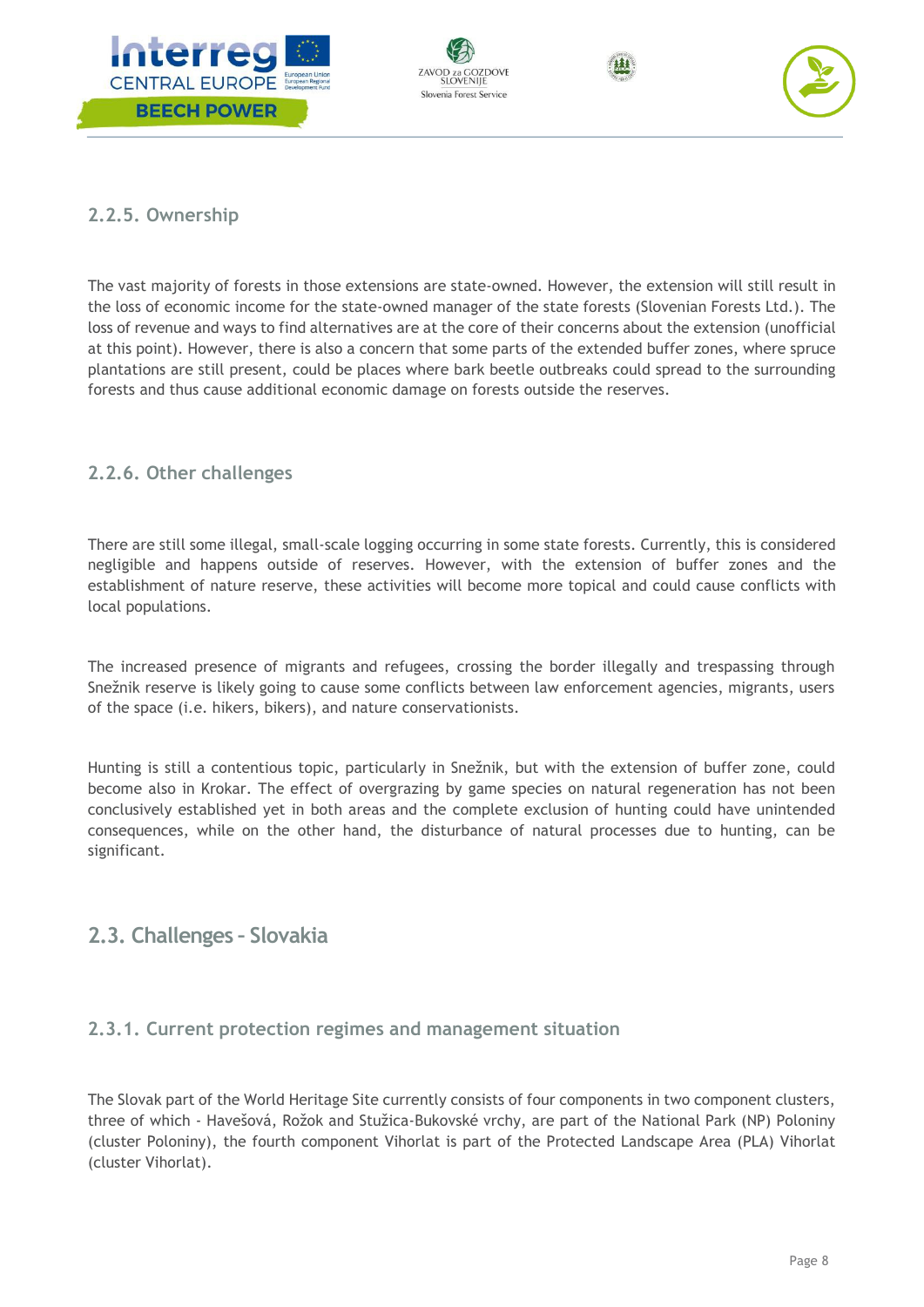







## <span id="page-8-0"></span>**2.2.5. Ownership**

The vast majority of forests in those extensions are state-owned. However, the extension will still result in the loss of economic income for the state-owned manager of the state forests (Slovenian Forests Ltd.). The loss of revenue and ways to find alternatives are at the core of their concerns about the extension (unofficial at this point). However, there is also a concern that some parts of the extended buffer zones, where spruce plantations are still present, could be places where bark beetle outbreaks could spread to the surrounding forests and thus cause additional economic damage on forests outside the reserves.

# <span id="page-8-1"></span>**2.2.6. Other challenges**

There are still some illegal, small-scale logging occurring in some state forests. Currently, this is considered negligible and happens outside of reserves. However, with the extension of buffer zones and the establishment of nature reserve, these activities will become more topical and could cause conflicts with local populations.

The increased presence of migrants and refugees, crossing the border illegally and trespassing through Snežnik reserve is likely going to cause some conflicts between law enforcement agencies, migrants, users of the space (i.e. hikers, bikers), and nature conservationists.

Hunting is still a contentious topic, particularly in Snežnik, but with the extension of buffer zone, could become also in Krokar. The effect of overgrazing by game species on natural regeneration has not been conclusively established yet in both areas and the complete exclusion of hunting could have unintended consequences, while on the other hand, the disturbance of natural processes due to hunting, can be significant.

# <span id="page-8-2"></span>**2.3. Challenges – Slovakia**

## <span id="page-8-3"></span>**2.3.1. Current protection regimes and management situation**

The Slovak part of the World Heritage Site currently consists of four components in two component clusters, three of which - Havešová, Rožok and Stužica-Bukovské vrchy, are part of the National Park (NP) Poloniny (cluster Poloniny), the fourth component Vihorlat is part of the Protected Landscape Area (PLA) Vihorlat (cluster Vihorlat).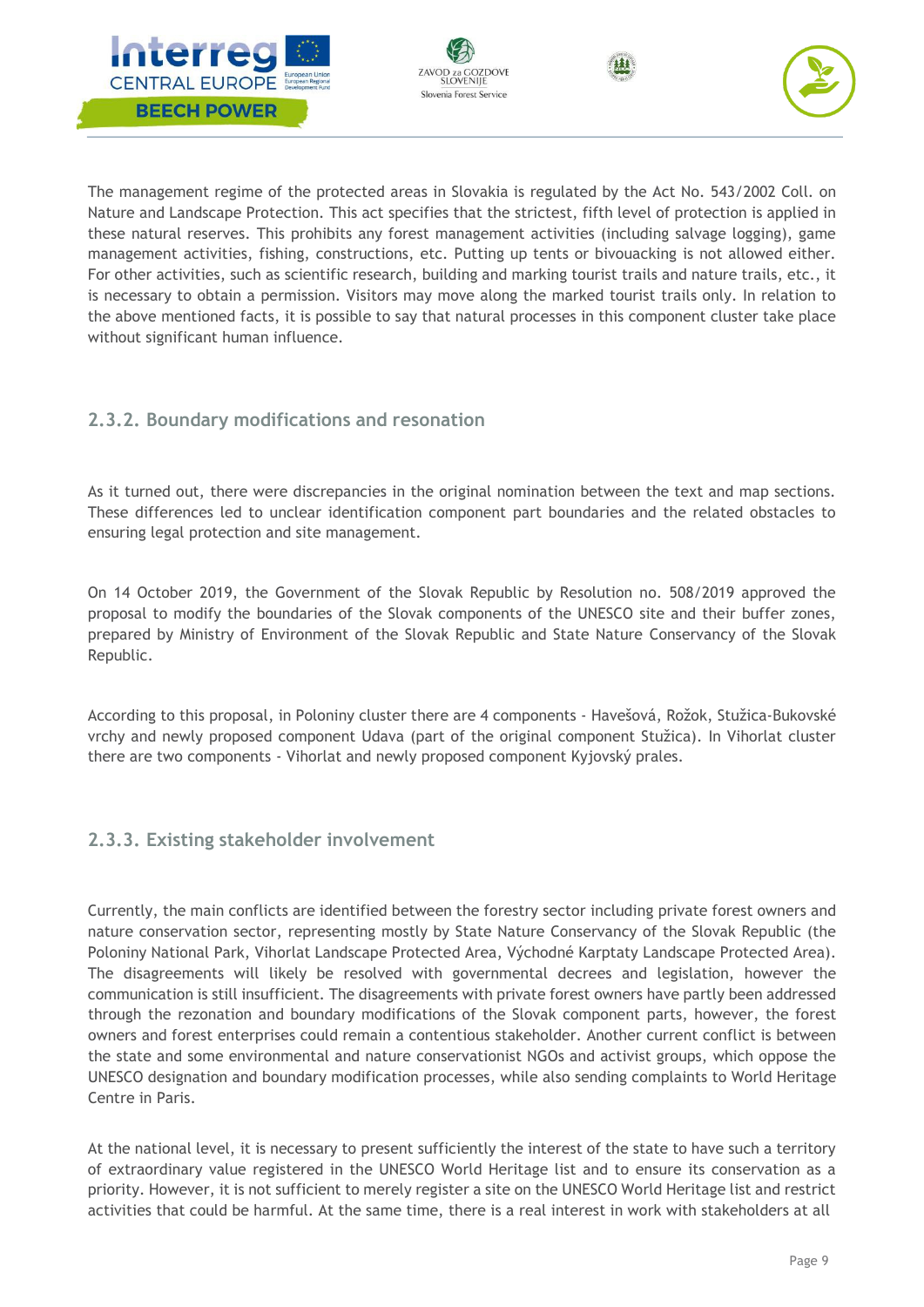







The management regime of the protected areas in Slovakia is regulated by the Act No. 543/2002 Coll. on Nature and Landscape Protection. This act specifies that the strictest, fifth level of protection is applied in these natural reserves. This prohibits any forest management activities (including salvage logging), game management activities, fishing, constructions, etc. Putting up tents or bivouacking is not allowed either. For other activities, such as scientific research, building and marking tourist trails and nature trails, etc., it is necessary to obtain a permission. Visitors may move along the marked tourist trails only. In relation to the above mentioned facts, it is possible to say that natural processes in this component cluster take place without significant human influence.

# <span id="page-9-0"></span>**2.3.2. Boundary modifications and resonation**

As it turned out, there were discrepancies in the original nomination between the text and map sections. These differences led to unclear identification component part boundaries and the related obstacles to ensuring legal protection and site management.

On 14 October 2019, the Government of the Slovak Republic by Resolution no. 508/2019 approved the proposal to modify the boundaries of the Slovak components of the UNESCO site and their buffer zones, prepared by Ministry of Environment of the Slovak Republic and State Nature Conservancy of the Slovak Republic.

According to this proposal, in Poloniny cluster there are 4 components - Havešová, Rožok, Stužica-Bukovské vrchy and newly proposed component Udava (part of the original component Stužica). In Vihorlat cluster there are two components - Vihorlat and newly proposed component Kyjovský prales.

## <span id="page-9-1"></span>**2.3.3. Existing stakeholder involvement**

Currently, the main conflicts are identified between the forestry sector including private forest owners and nature conservation sector, representing mostly by State Nature Conservancy of the Slovak Republic (the Poloniny National Park, Vihorlat Landscape Protected Area, Východné Karptaty Landscape Protected Area). The disagreements will likely be resolved with governmental decrees and legislation, however the communication is still insufficient. The disagreements with private forest owners have partly been addressed through the rezonation and boundary modifications of the Slovak component parts, however, the forest owners and forest enterprises could remain a contentious stakeholder. Another current conflict is between the state and some environmental and nature conservationist NGOs and activist groups, which oppose the UNESCO designation and boundary modification processes, while also sending complaints to World Heritage Centre in Paris.

At the national level, it is necessary to present sufficiently the interest of the state to have such a territory of extraordinary value registered in the UNESCO World Heritage list and to ensure its conservation as a priority. However, it is not sufficient to merely register a site on the UNESCO World Heritage list and restrict activities that could be harmful. At the same time, there is a real interest in work with stakeholders at all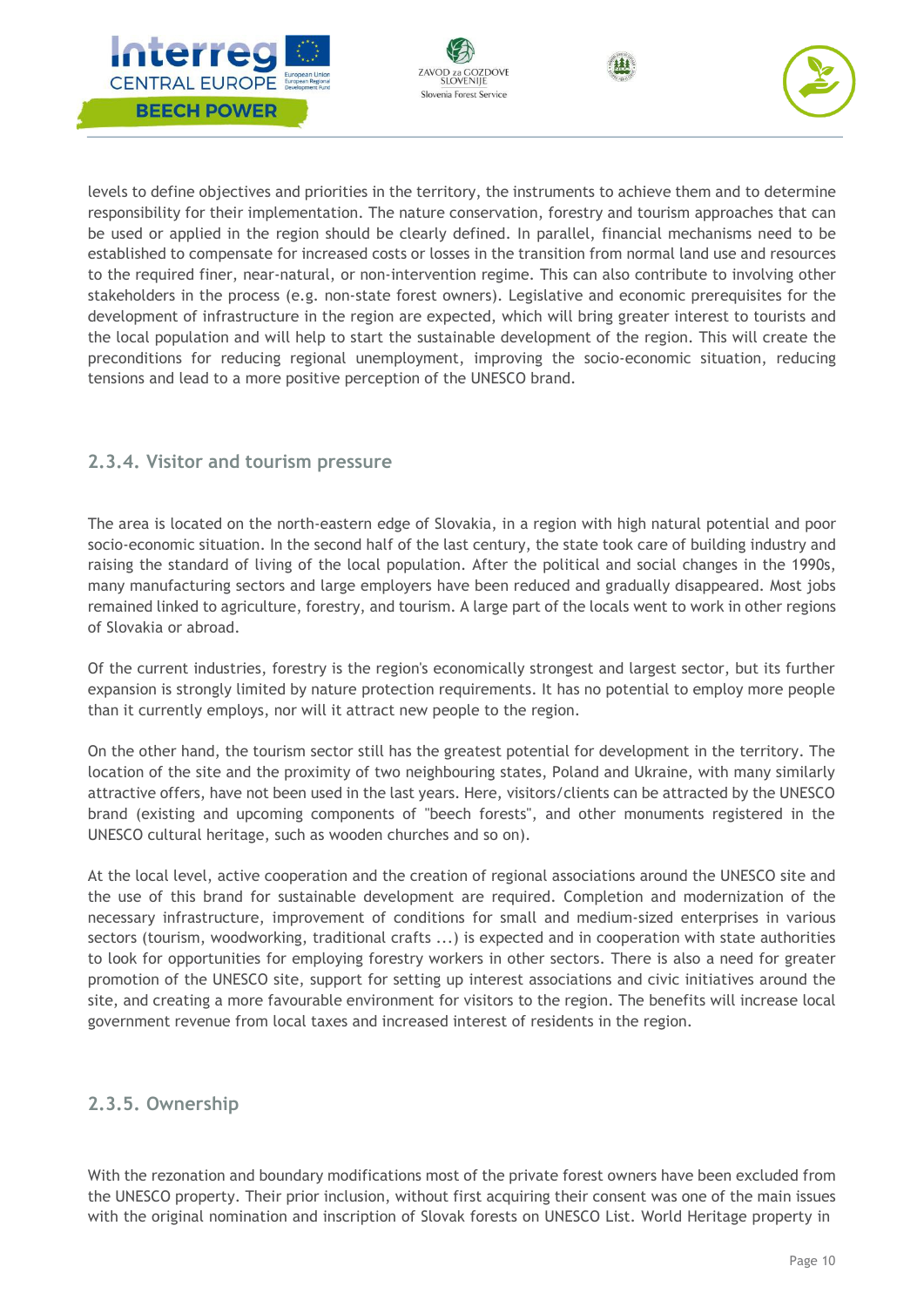







levels to define objectives and priorities in the territory, the instruments to achieve them and to determine responsibility for their implementation. The nature conservation, forestry and tourism approaches that can be used or applied in the region should be clearly defined. In parallel, financial mechanisms need to be established to compensate for increased costs or losses in the transition from normal land use and resources to the required finer, near-natural, or non-intervention regime. This can also contribute to involving other stakeholders in the process (e.g. non-state forest owners). Legislative and economic prerequisites for the development of infrastructure in the region are expected, which will bring greater interest to tourists and the local population and will help to start the sustainable development of the region. This will create the preconditions for reducing regional unemployment, improving the socio-economic situation, reducing tensions and lead to a more positive perception of the UNESCO brand.

## <span id="page-10-0"></span>**2.3.4. Visitor and tourism pressure**

The area is located on the north-eastern edge of Slovakia, in a region with high natural potential and poor socio-economic situation. In the second half of the last century, the state took care of building industry and raising the standard of living of the local population. After the political and social changes in the 1990s, many manufacturing sectors and large employers have been reduced and gradually disappeared. Most jobs remained linked to agriculture, forestry, and tourism. A large part of the locals went to work in other regions of Slovakia or abroad.

Of the current industries, forestry is the region's economically strongest and largest sector, but its further expansion is strongly limited by nature protection requirements. It has no potential to employ more people than it currently employs, nor will it attract new people to the region.

On the other hand, the tourism sector still has the greatest potential for development in the territory. The location of the site and the proximity of two neighbouring states, Poland and Ukraine, with many similarly attractive offers, have not been used in the last years. Here, visitors/clients can be attracted by the UNESCO brand (existing and upcoming components of "beech forests", and other monuments registered in the UNESCO cultural heritage, such as wooden churches and so on).

At the local level, active cooperation and the creation of regional associations around the UNESCO site and the use of this brand for sustainable development are required. Completion and modernization of the necessary infrastructure, improvement of conditions for small and medium-sized enterprises in various sectors (tourism, woodworking, traditional crafts ...) is expected and in cooperation with state authorities to look for opportunities for employing forestry workers in other sectors. There is also a need for greater promotion of the UNESCO site, support for setting up interest associations and civic initiatives around the site, and creating a more favourable environment for visitors to the region. The benefits will increase local government revenue from local taxes and increased interest of residents in the region.

# <span id="page-10-1"></span>**2.3.5. Ownership**

With the rezonation and boundary modifications most of the private forest owners have been excluded from the UNESCO property. Their prior inclusion, without first acquiring their consent was one of the main issues with the original nomination and inscription of Slovak forests on UNESCO List. World Heritage property in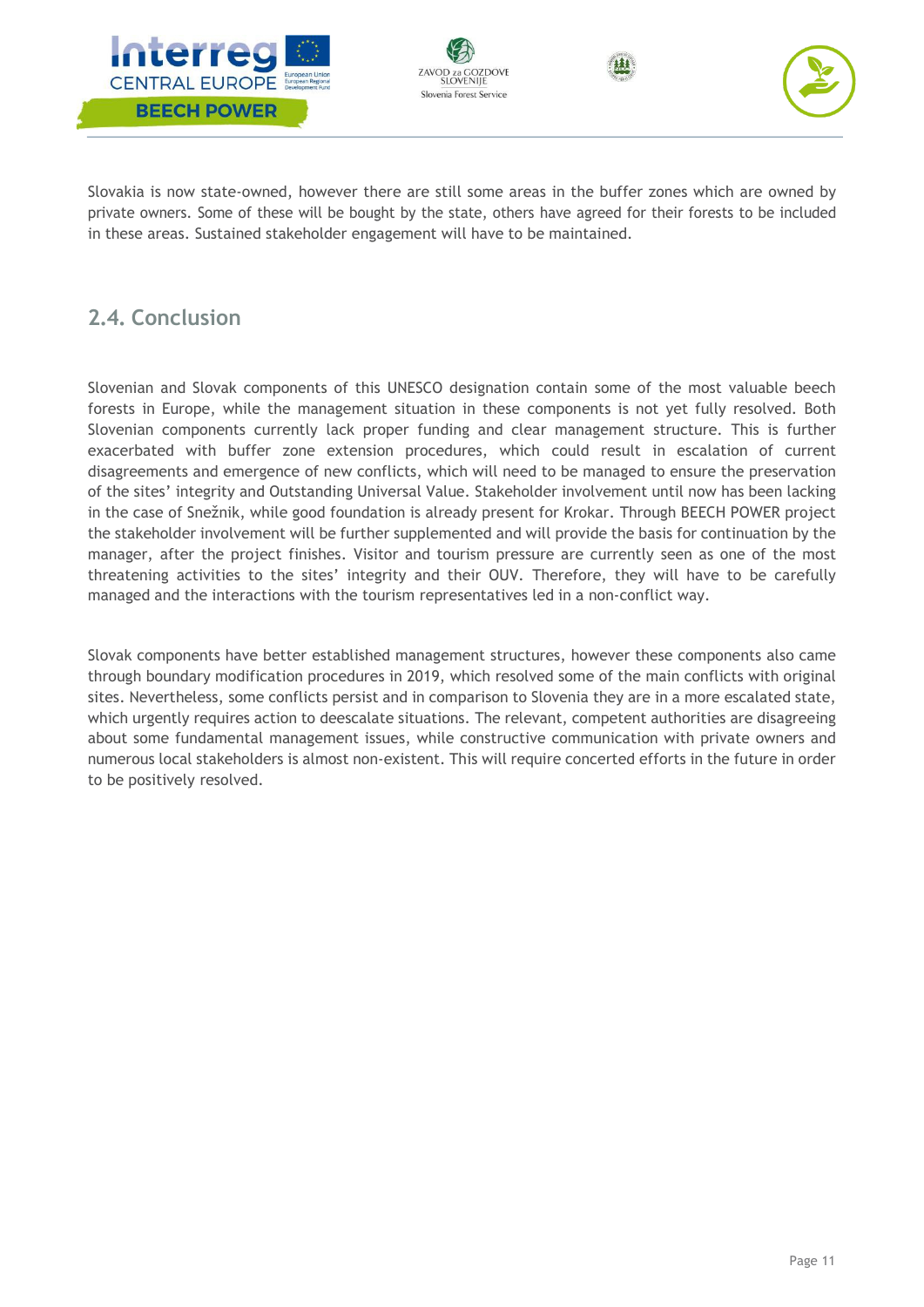







Slovakia is now state-owned, however there are still some areas in the buffer zones which are owned by private owners. Some of these will be bought by the state, others have agreed for their forests to be included in these areas. Sustained stakeholder engagement will have to be maintained.

# <span id="page-11-0"></span>**2.4. Conclusion**

Slovenian and Slovak components of this UNESCO designation contain some of the most valuable beech forests in Europe, while the management situation in these components is not yet fully resolved. Both Slovenian components currently lack proper funding and clear management structure. This is further exacerbated with buffer zone extension procedures, which could result in escalation of current disagreements and emergence of new conflicts, which will need to be managed to ensure the preservation of the sites' integrity and Outstanding Universal Value. Stakeholder involvement until now has been lacking in the case of Snežnik, while good foundation is already present for Krokar. Through BEECH POWER project the stakeholder involvement will be further supplemented and will provide the basis for continuation by the manager, after the project finishes. Visitor and tourism pressure are currently seen as one of the most threatening activities to the sites' integrity and their OUV. Therefore, they will have to be carefully managed and the interactions with the tourism representatives led in a non-conflict way.

Slovak components have better established management structures, however these components also came through boundary modification procedures in 2019, which resolved some of the main conflicts with original sites. Nevertheless, some conflicts persist and in comparison to Slovenia they are in a more escalated state, which urgently requires action to deescalate situations. The relevant, competent authorities are disagreeing about some fundamental management issues, while constructive communication with private owners and numerous local stakeholders is almost non-existent. This will require concerted efforts in the future in order to be positively resolved.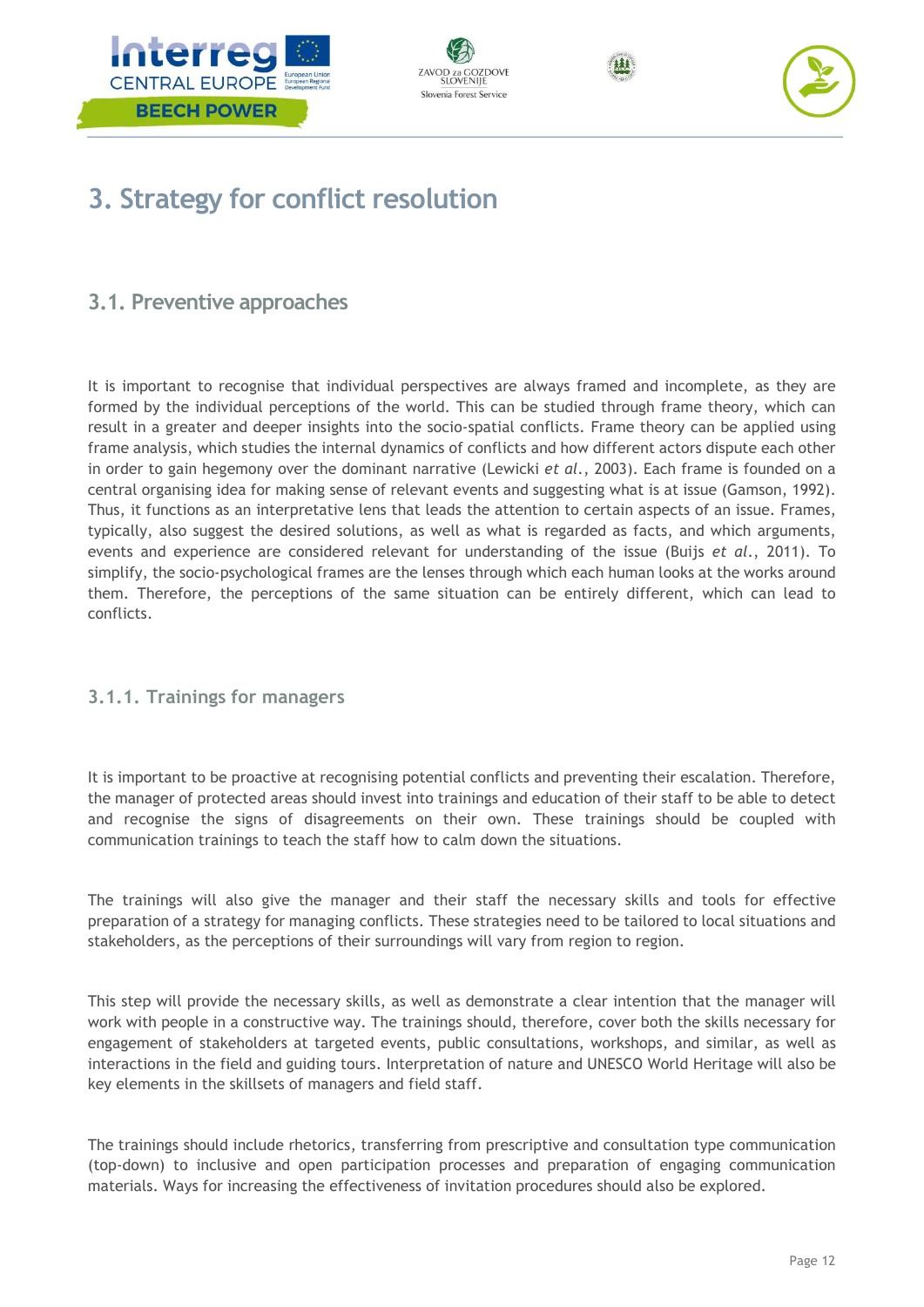







# <span id="page-12-0"></span>**3. Strategy for conflict resolution**

# <span id="page-12-1"></span>**3.1. Preventive approaches**

It is important to recognise that individual perspectives are always framed and incomplete, as they are formed by the individual perceptions of the world. This can be studied through frame theory, which can result in a greater and deeper insights into the socio-spatial conflicts. Frame theory can be applied using frame analysis, which studies the internal dynamics of conflicts and how different actors dispute each other in order to gain hegemony over the dominant narrative (Lewicki *et al*., 2003). Each frame is founded on a central organising idea for making sense of relevant events and suggesting what is at issue (Gamson, 1992). Thus, it functions as an interpretative lens that leads the attention to certain aspects of an issue. Frames, typically, also suggest the desired solutions, as well as what is regarded as facts, and which arguments, events and experience are considered relevant for understanding of the issue (Buijs *et al*., 2011). To simplify, the socio-psychological frames are the lenses through which each human looks at the works around them. Therefore, the perceptions of the same situation can be entirely different, which can lead to conflicts.

# <span id="page-12-2"></span>**3.1.1. Trainings for managers**

It is important to be proactive at recognising potential conflicts and preventing their escalation. Therefore, the manager of protected areas should invest into trainings and education of their staff to be able to detect and recognise the signs of disagreements on their own. These trainings should be coupled with communication trainings to teach the staff how to calm down the situations.

The trainings will also give the manager and their staff the necessary skills and tools for effective preparation of a strategy for managing conflicts. These strategies need to be tailored to local situations and stakeholders, as the perceptions of their surroundings will vary from region to region.

This step will provide the necessary skills, as well as demonstrate a clear intention that the manager will work with people in a constructive way. The trainings should, therefore, cover both the skills necessary for engagement of stakeholders at targeted events, public consultations, workshops, and similar, as well as interactions in the field and guiding tours. Interpretation of nature and UNESCO World Heritage will also be key elements in the skillsets of managers and field staff.

The trainings should include rhetorics, transferring from prescriptive and consultation type communication (top-down) to inclusive and open participation processes and preparation of engaging communication materials. Ways for increasing the effectiveness of invitation procedures should also be explored.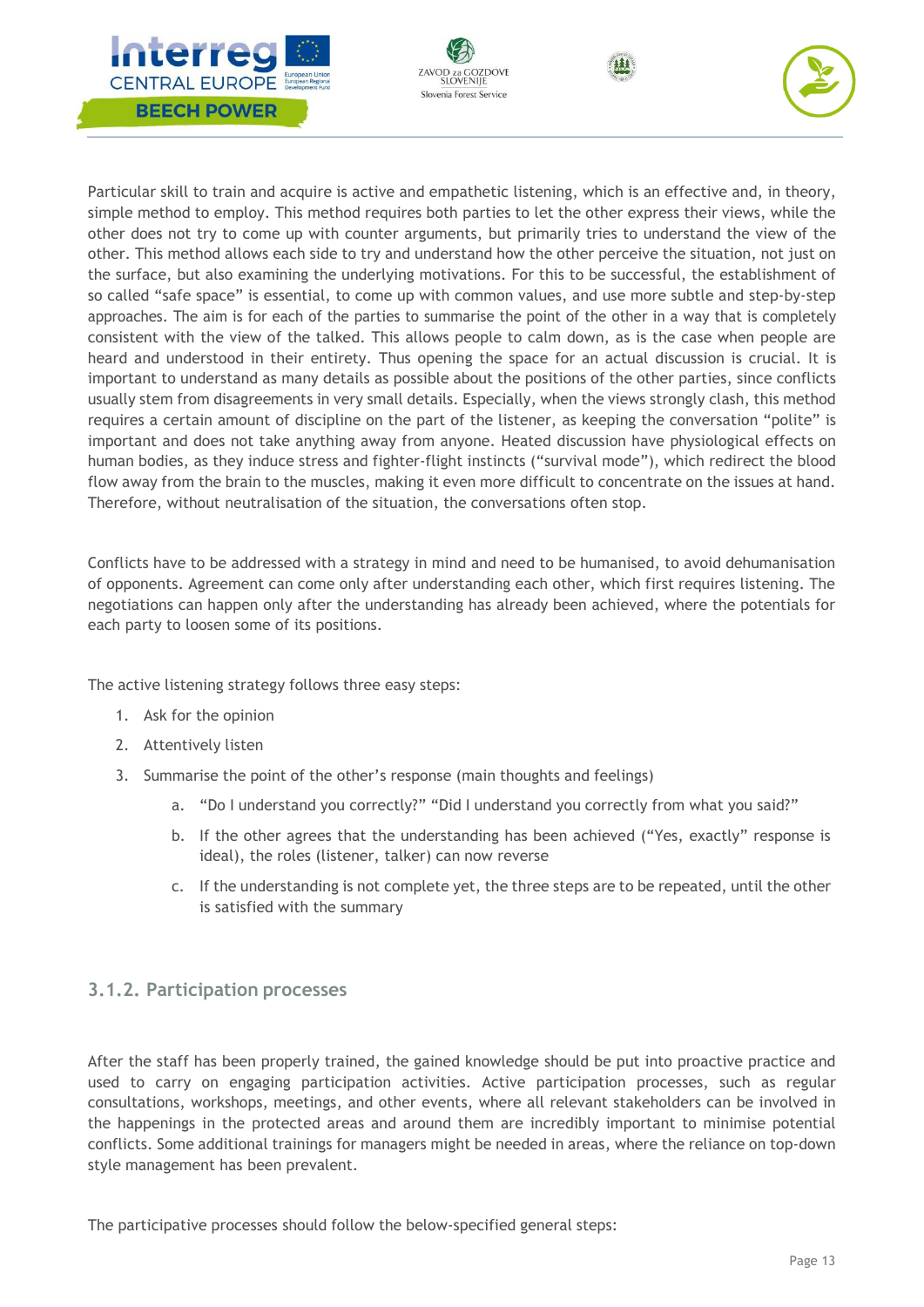







Particular skill to train and acquire is active and empathetic listening, which is an effective and, in theory, simple method to employ. This method requires both parties to let the other express their views, while the other does not try to come up with counter arguments, but primarily tries to understand the view of the other. This method allows each side to try and understand how the other perceive the situation, not just on the surface, but also examining the underlying motivations. For this to be successful, the establishment of so called "safe space" is essential, to come up with common values, and use more subtle and step-by-step approaches. The aim is for each of the parties to summarise the point of the other in a way that is completely consistent with the view of the talked. This allows people to calm down, as is the case when people are heard and understood in their entirety. Thus opening the space for an actual discussion is crucial. It is important to understand as many details as possible about the positions of the other parties, since conflicts usually stem from disagreements in very small details. Especially, when the views strongly clash, this method requires a certain amount of discipline on the part of the listener, as keeping the conversation "polite" is important and does not take anything away from anyone. Heated discussion have physiological effects on human bodies, as they induce stress and fighter-flight instincts ("survival mode"), which redirect the blood flow away from the brain to the muscles, making it even more difficult to concentrate on the issues at hand. Therefore, without neutralisation of the situation, the conversations often stop.

Conflicts have to be addressed with a strategy in mind and need to be humanised, to avoid dehumanisation of opponents. Agreement can come only after understanding each other, which first requires listening. The negotiations can happen only after the understanding has already been achieved, where the potentials for each party to loosen some of its positions.

The active listening strategy follows three easy steps:

- 1. Ask for the opinion
- 2. Attentively listen
- 3. Summarise the point of the other's response (main thoughts and feelings)
	- a. "Do I understand you correctly?" "Did I understand you correctly from what you said?"
	- b. If the other agrees that the understanding has been achieved ("Yes, exactly" response is ideal), the roles (listener, talker) can now reverse
	- c. If the understanding is not complete yet, the three steps are to be repeated, until the other is satisfied with the summary

## <span id="page-13-0"></span>**3.1.2. Participation processes**

After the staff has been properly trained, the gained knowledge should be put into proactive practice and used to carry on engaging participation activities. Active participation processes, such as regular consultations, workshops, meetings, and other events, where all relevant stakeholders can be involved in the happenings in the protected areas and around them are incredibly important to minimise potential conflicts. Some additional trainings for managers might be needed in areas, where the reliance on top-down style management has been prevalent.

The participative processes should follow the below-specified general steps: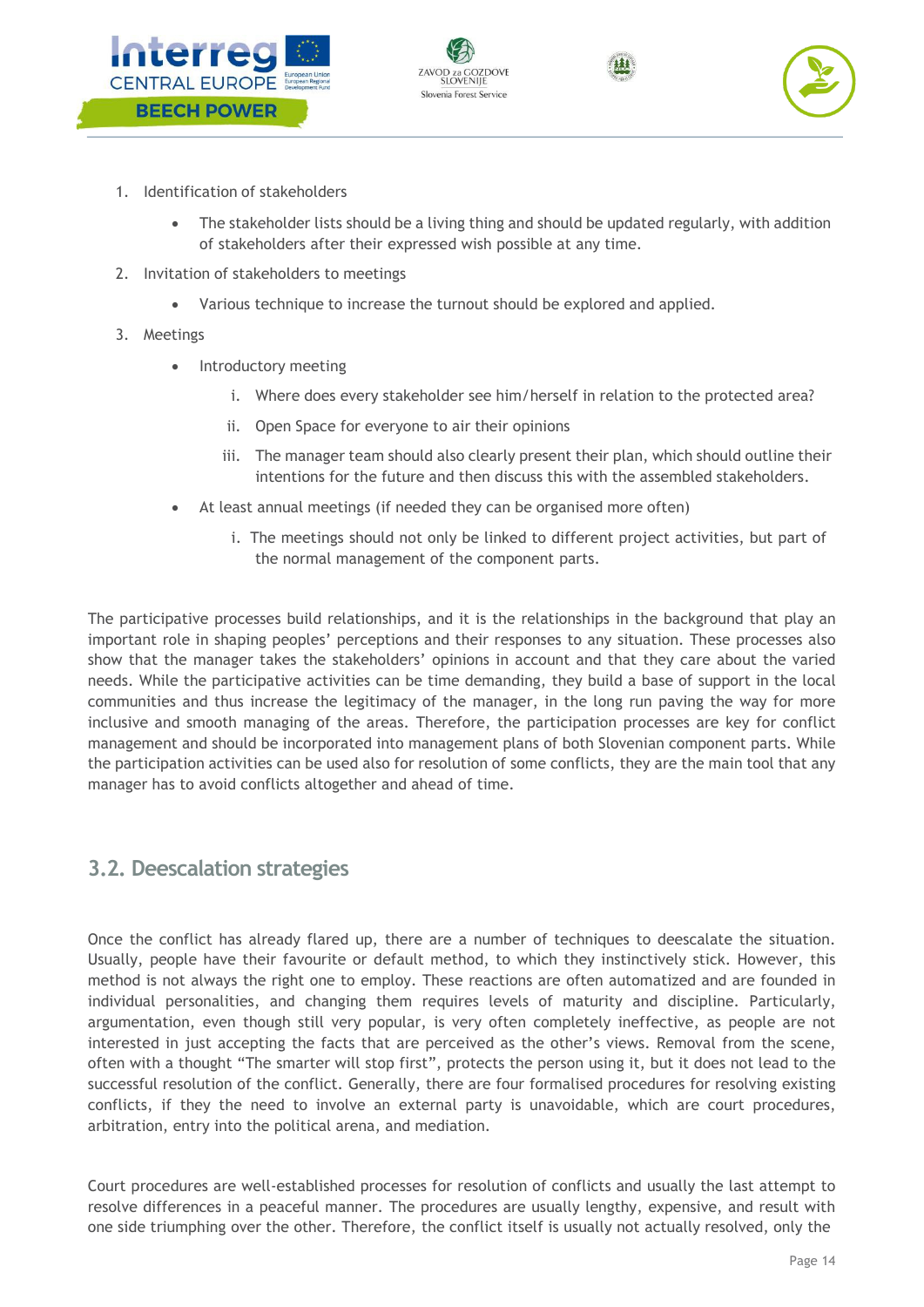







- 1. Identification of stakeholders
	- The stakeholder lists should be a living thing and should be updated regularly, with addition of stakeholders after their expressed wish possible at any time.
- 2. Invitation of stakeholders to meetings
	- Various technique to increase the turnout should be explored and applied.
- 3. Meetings
	- Introductory meeting
		- i. Where does every stakeholder see him/herself in relation to the protected area?
		- ii. Open Space for everyone to air their opinions
		- iii. The manager team should also clearly present their plan, which should outline their intentions for the future and then discuss this with the assembled stakeholders.
	- At least annual meetings (if needed they can be organised more often)
		- i. The meetings should not only be linked to different project activities, but part of the normal management of the component parts.

The participative processes build relationships, and it is the relationships in the background that play an important role in shaping peoples' perceptions and their responses to any situation. These processes also show that the manager takes the stakeholders' opinions in account and that they care about the varied needs. While the participative activities can be time demanding, they build a base of support in the local communities and thus increase the legitimacy of the manager, in the long run paving the way for more inclusive and smooth managing of the areas. Therefore, the participation processes are key for conflict management and should be incorporated into management plans of both Slovenian component parts. While the participation activities can be used also for resolution of some conflicts, they are the main tool that any manager has to avoid conflicts altogether and ahead of time.

# <span id="page-14-0"></span>**3.2. Deescalation strategies**

Once the conflict has already flared up, there are a number of techniques to deescalate the situation. Usually, people have their favourite or default method, to which they instinctively stick. However, this method is not always the right one to employ. These reactions are often automatized and are founded in individual personalities, and changing them requires levels of maturity and discipline. Particularly, argumentation, even though still very popular, is very often completely ineffective, as people are not interested in just accepting the facts that are perceived as the other's views. Removal from the scene, often with a thought "The smarter will stop first", protects the person using it, but it does not lead to the successful resolution of the conflict. Generally, there are four formalised procedures for resolving existing conflicts, if they the need to involve an external party is unavoidable, which are court procedures, arbitration, entry into the political arena, and mediation.

Court procedures are well-established processes for resolution of conflicts and usually the last attempt to resolve differences in a peaceful manner. The procedures are usually lengthy, expensive, and result with one side triumphing over the other. Therefore, the conflict itself is usually not actually resolved, only the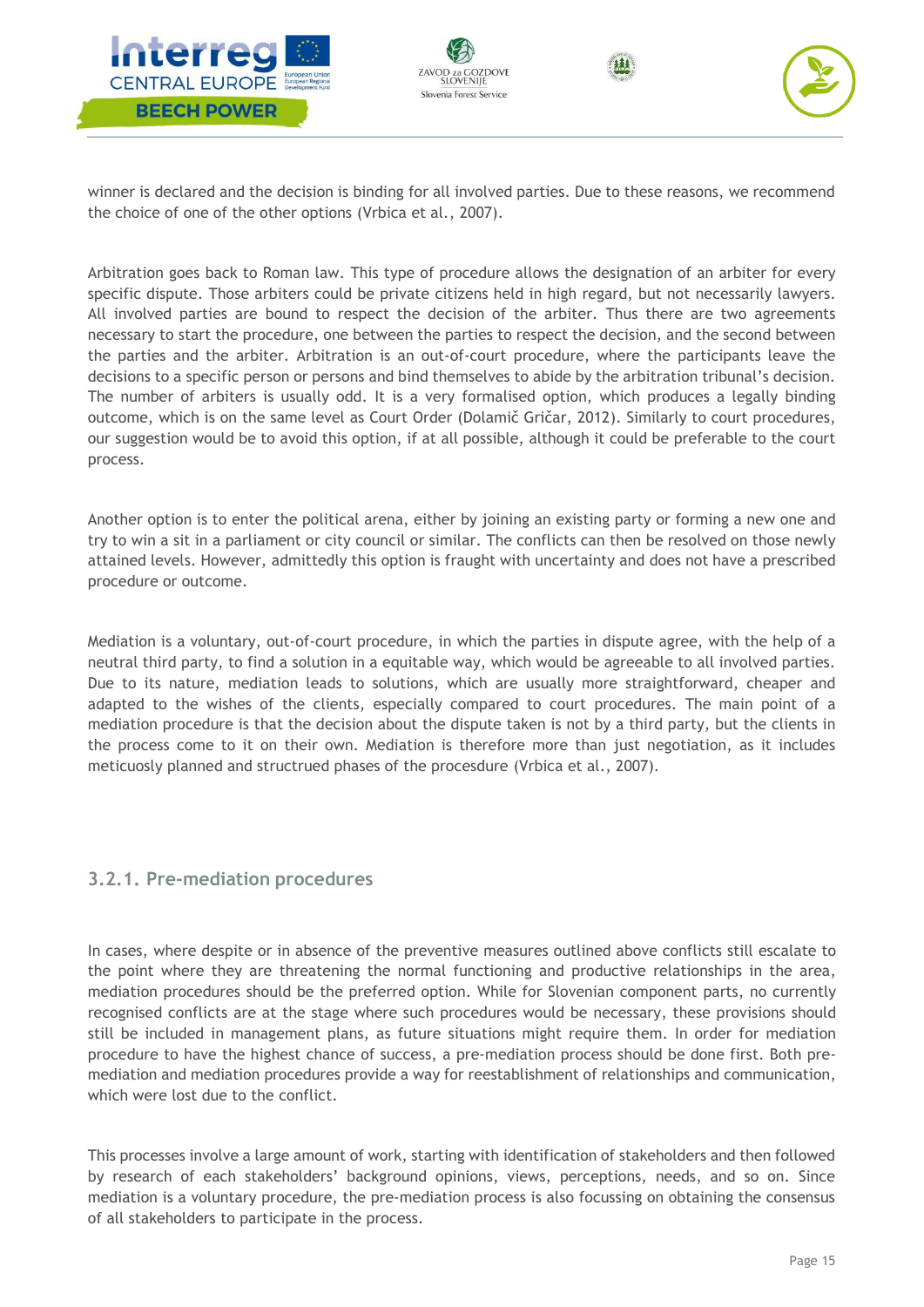







winner is declared and the decision is binding for all involved parties. Due to these reasons, we recommend the choice of one of the other options (Vrbica et al., 2007).

Arbitration goes back to Roman law. This type of procedure allows the designation of an arbiter for every specific dispute. Those arbiters could be private citizens held in high regard, but not necessarily lawyers. All involved parties are bound to respect the decision of the arbiter. Thus there are two agreements necessary to start the procedure, one between the parties to respect the decision, and the second between the parties and the arbiter. Arbitration is an out-of-court procedure, where the participants leave the decisions to a specific person or persons and bind themselves to abide by the arbitration tribunal's decision. The number of arbiters is usually odd. It is a very formalised option, which produces a legally binding outcome, which is on the same level as Court Order (Dolamič Gričar, 2012). Similarly to court procedures, our suggestion would be to avoid this option, if at all possible, although it could be preferable to the court process.

Another option is to enter the political arena, either by joining an existing party or forming a new one and try to win a sit in a parliament or city council or similar. The conflicts can then be resolved on those newly attained levels. However, admittedly this option is fraught with uncertainty and does not have a prescribed procedure or outcome.

Mediation is a voluntary, out-of-court procedure, in which the parties in dispute agree, with the help of a neutral third party, to find a solution in a equitable way, which would be agreeable to all involved parties. Due to its nature, mediation leads to solutions, which are usually more straightforward, cheaper and adapted to the wishes of the clients, especially compared to court procedures. The main point of a mediation procedure is that the decision about the dispute taken is not by a third party, but the clients in the process come to it on their own. Mediation is therefore more than just negotiation, as it includes meticuosly planned and structrued phases of the procesdure (Vrbica et al., 2007).

## <span id="page-15-0"></span>**3.2.1. Pre-mediation procedures**

In cases, where despite or in absence of the preventive measures outlined above conflicts still escalate to the point where they are threatening the normal functioning and productive relationships in the area, mediation procedures should be the preferred option. While for Slovenian component parts, no currently recognised conflicts are at the stage where such procedures would be necessary, these provisions should still be included in management plans, as future situations might require them. In order for mediation procedure to have the highest chance of success, a pre-mediation process should be done first. Both premediation and mediation procedures provide a way for reestablishment of relationships and communication, which were lost due to the conflict.

This processes involve a large amount of work, starting with identification of stakeholders and then followed by research of each stakeholders' background opinions, views, perceptions, needs, and so on. Since mediation is a voluntary procedure, the pre-mediation process is also focussing on obtaining the consensus of all stakeholders to participate in the process.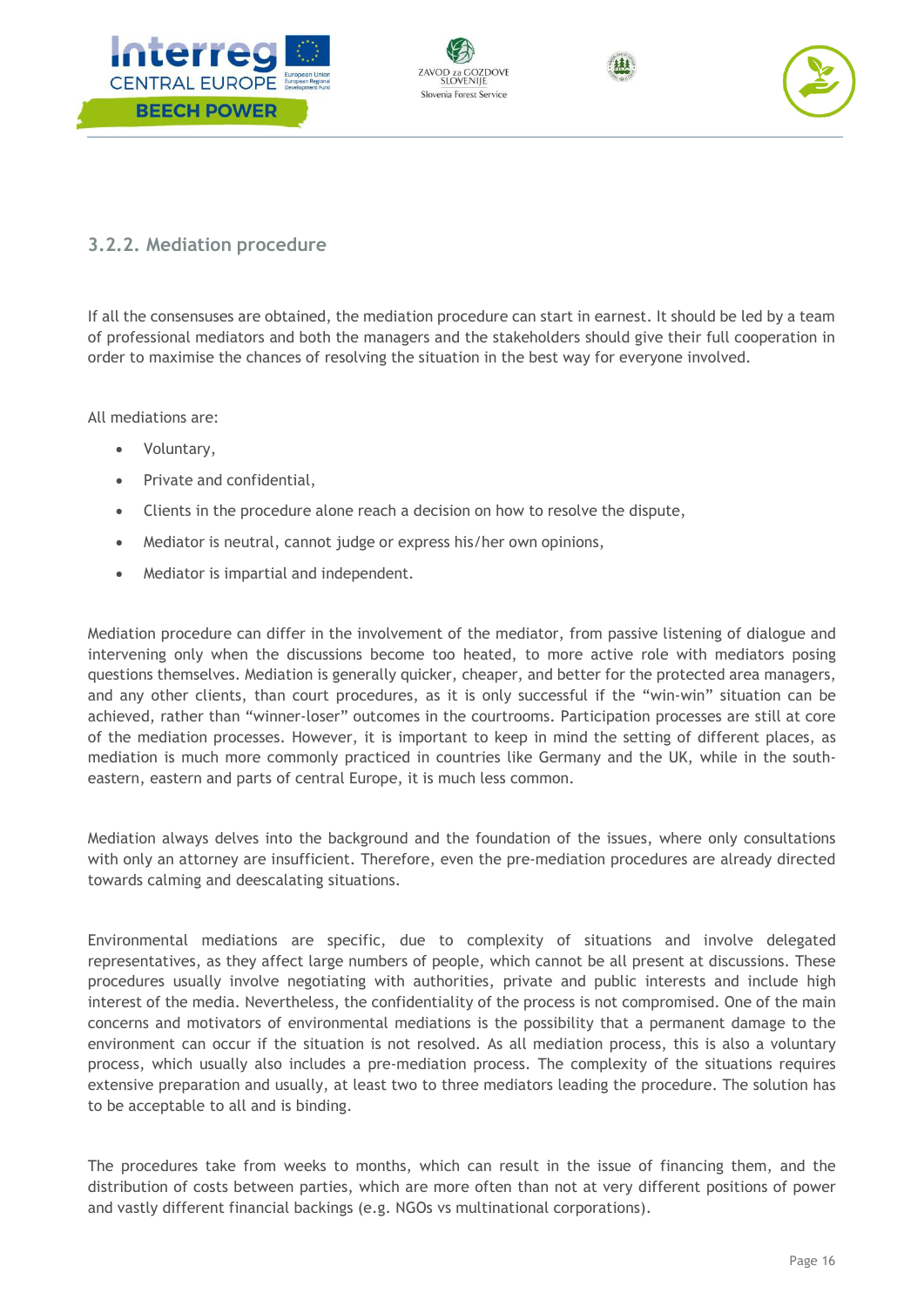







# <span id="page-16-0"></span>**3.2.2. Mediation procedure**

If all the consensuses are obtained, the mediation procedure can start in earnest. It should be led by a team of professional mediators and both the managers and the stakeholders should give their full cooperation in order to maximise the chances of resolving the situation in the best way for everyone involved.

All mediations are:

- Voluntary,
- Private and confidential,
- Clients in the procedure alone reach a decision on how to resolve the dispute,
- Mediator is neutral, cannot judge or express his/her own opinions,
- Mediator is impartial and independent.

Mediation procedure can differ in the involvement of the mediator, from passive listening of dialogue and intervening only when the discussions become too heated, to more active role with mediators posing questions themselves. Mediation is generally quicker, cheaper, and better for the protected area managers, and any other clients, than court procedures, as it is only successful if the "win-win" situation can be achieved, rather than "winner-loser" outcomes in the courtrooms. Participation processes are still at core of the mediation processes. However, it is important to keep in mind the setting of different places, as mediation is much more commonly practiced in countries like Germany and the UK, while in the southeastern, eastern and parts of central Europe, it is much less common.

Mediation always delves into the background and the foundation of the issues, where only consultations with only an attorney are insufficient. Therefore, even the pre-mediation procedures are already directed towards calming and deescalating situations.

Environmental mediations are specific, due to complexity of situations and involve delegated representatives, as they affect large numbers of people, which cannot be all present at discussions. These procedures usually involve negotiating with authorities, private and public interests and include high interest of the media. Nevertheless, the confidentiality of the process is not compromised. One of the main concerns and motivators of environmental mediations is the possibility that a permanent damage to the environment can occur if the situation is not resolved. As all mediation process, this is also a voluntary process, which usually also includes a pre-mediation process. The complexity of the situations requires extensive preparation and usually, at least two to three mediators leading the procedure. The solution has to be acceptable to all and is binding.

The procedures take from weeks to months, which can result in the issue of financing them, and the distribution of costs between parties, which are more often than not at very different positions of power and vastly different financial backings (e.g. NGOs vs multinational corporations).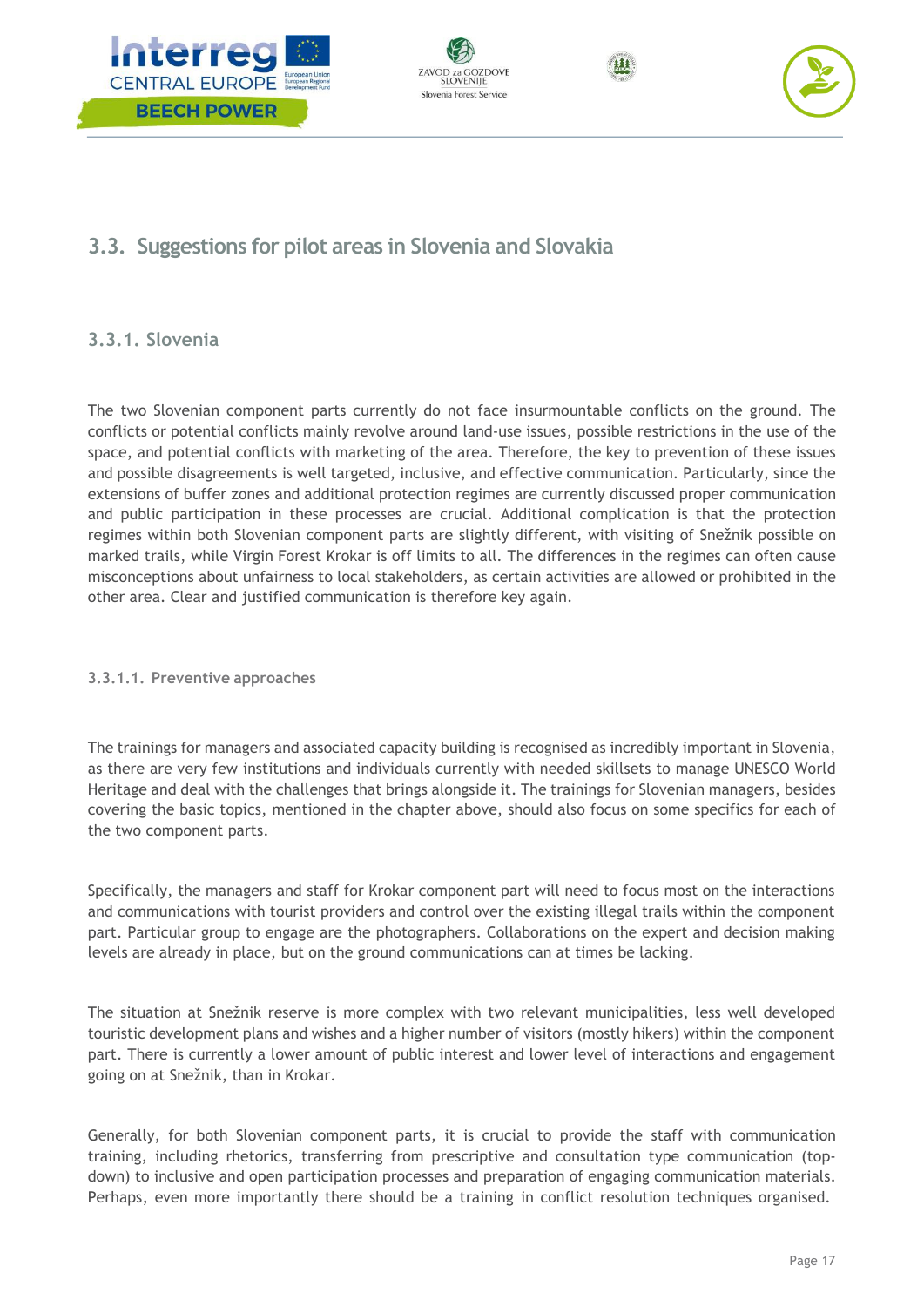







# <span id="page-17-0"></span>**3.3. Suggestions for pilot areas in Slovenia and Slovakia**

# <span id="page-17-1"></span>**3.3.1. Slovenia**

The two Slovenian component parts currently do not face insurmountable conflicts on the ground. The conflicts or potential conflicts mainly revolve around land-use issues, possible restrictions in the use of the space, and potential conflicts with marketing of the area. Therefore, the key to prevention of these issues and possible disagreements is well targeted, inclusive, and effective communication. Particularly, since the extensions of buffer zones and additional protection regimes are currently discussed proper communication and public participation in these processes are crucial. Additional complication is that the protection regimes within both Slovenian component parts are slightly different, with visiting of Snežnik possible on marked trails, while Virgin Forest Krokar is off limits to all. The differences in the regimes can often cause misconceptions about unfairness to local stakeholders, as certain activities are allowed or prohibited in the other area. Clear and justified communication is therefore key again.

#### <span id="page-17-2"></span>**3.3.1.1. Preventive approaches**

The trainings for managers and associated capacity building is recognised as incredibly important in Slovenia, as there are very few institutions and individuals currently with needed skillsets to manage UNESCO World Heritage and deal with the challenges that brings alongside it. The trainings for Slovenian managers, besides covering the basic topics, mentioned in the chapter above, should also focus on some specifics for each of the two component parts.

Specifically, the managers and staff for Krokar component part will need to focus most on the interactions and communications with tourist providers and control over the existing illegal trails within the component part. Particular group to engage are the photographers. Collaborations on the expert and decision making levels are already in place, but on the ground communications can at times be lacking.

The situation at Snežnik reserve is more complex with two relevant municipalities, less well developed touristic development plans and wishes and a higher number of visitors (mostly hikers) within the component part. There is currently a lower amount of public interest and lower level of interactions and engagement going on at Snežnik, than in Krokar.

Generally, for both Slovenian component parts, it is crucial to provide the staff with communication training, including rhetorics, transferring from prescriptive and consultation type communication (topdown) to inclusive and open participation processes and preparation of engaging communication materials. Perhaps, even more importantly there should be a training in conflict resolution techniques organised.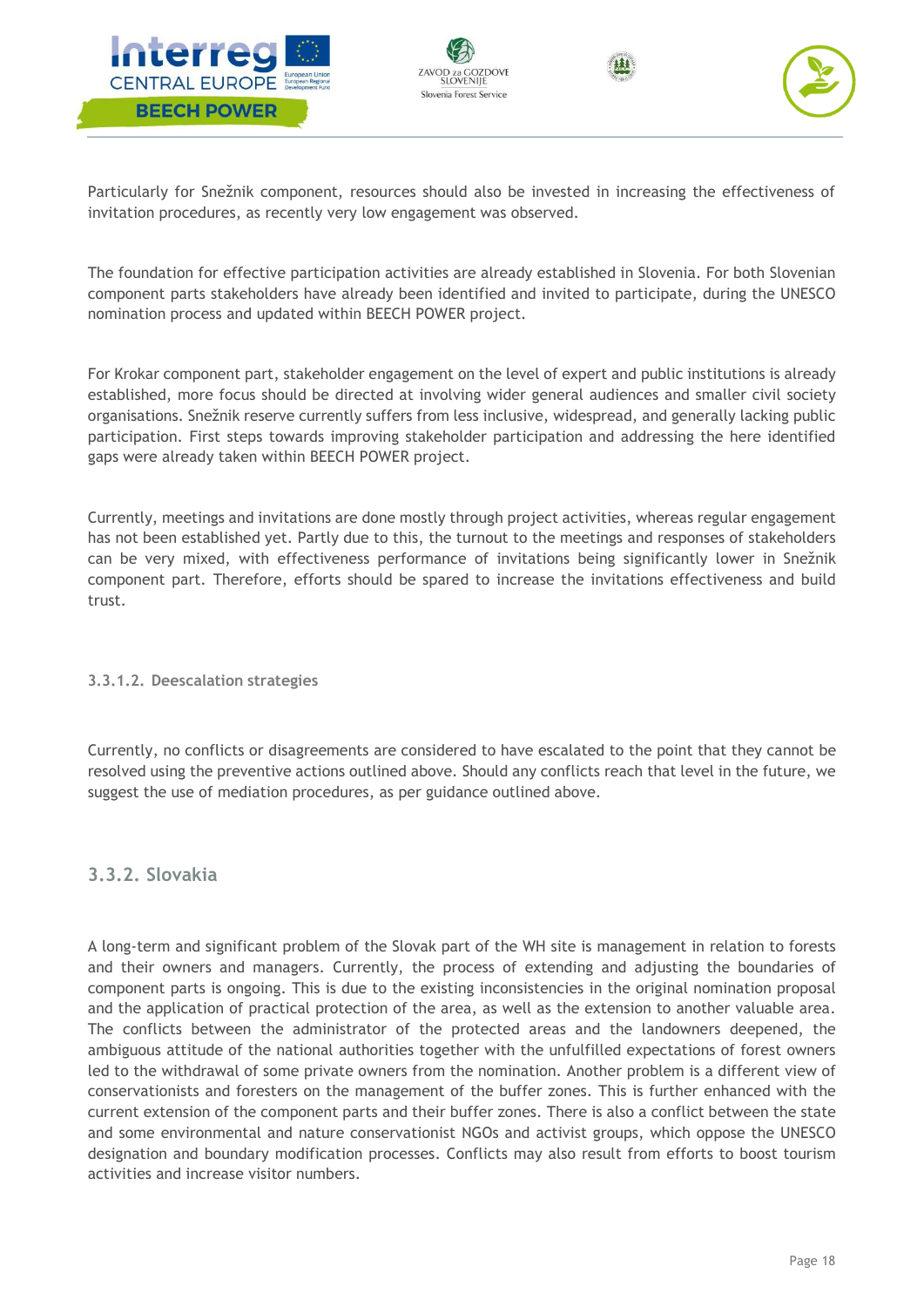







Particularly for Snežnik component, resources should also be invested in increasing the effectiveness of invitation procedures, as recently very low engagement was observed.

The foundation for effective participation activities are already established in Slovenia. For both Slovenian component parts stakeholders have already been identified and invited to participate, during the UNESCO nomination process and updated within BEECH POWER project.

For Krokar component part, stakeholder engagement on the level of expert and public institutions is already established, more focus should be directed at involving wider general audiences and smaller civil society organisations. Snežnik reserve currently suffers from less inclusive, widespread, and generally lacking public participation. First steps towards improving stakeholder participation and addressing the here identified gaps were already taken within BEECH POWER project.

Currently, meetings and invitations are done mostly through project activities, whereas regular engagement has not been established yet. Partly due to this, the turnout to the meetings and responses of stakeholders can be very mixed, with effectiveness performance of invitations being significantly lower in Snežnik component part. Therefore, efforts should be spared to increase the invitations effectiveness and build trust.

#### <span id="page-18-0"></span>**3.3.1.2. Deescalation strategies**

Currently, no conflicts or disagreements are considered to have escalated to the point that they cannot be resolved using the preventive actions outlined above. Should any conflicts reach that level in the future, we suggest the use of mediation procedures, as per guidance outlined above.

#### <span id="page-18-1"></span>**3.3.2. Slovakia**

A long-term and significant problem of the Slovak part of the WH site is management in relation to forests and their owners and managers. Currently, the process of extending and adjusting the boundaries of component parts is ongoing. This is due to the existing inconsistencies in the original nomination proposal and the application of practical protection of the area, as well as the extension to another valuable area. The conflicts between the administrator of the protected areas and the landowners deepened, the ambiguous attitude of the national authorities together with the unfulfilled expectations of forest owners led to the withdrawal of some private owners from the nomination. Another problem is a different view of conservationists and foresters on the management of the buffer zones. This is further enhanced with the current extension of the component parts and their buffer zones. There is also a conflict between the state and some environmental and nature conservationist NGOs and activist groups, which oppose the UNESCO designation and boundary modification processes. Conflicts may also result from efforts to boost tourism activities and increase visitor numbers.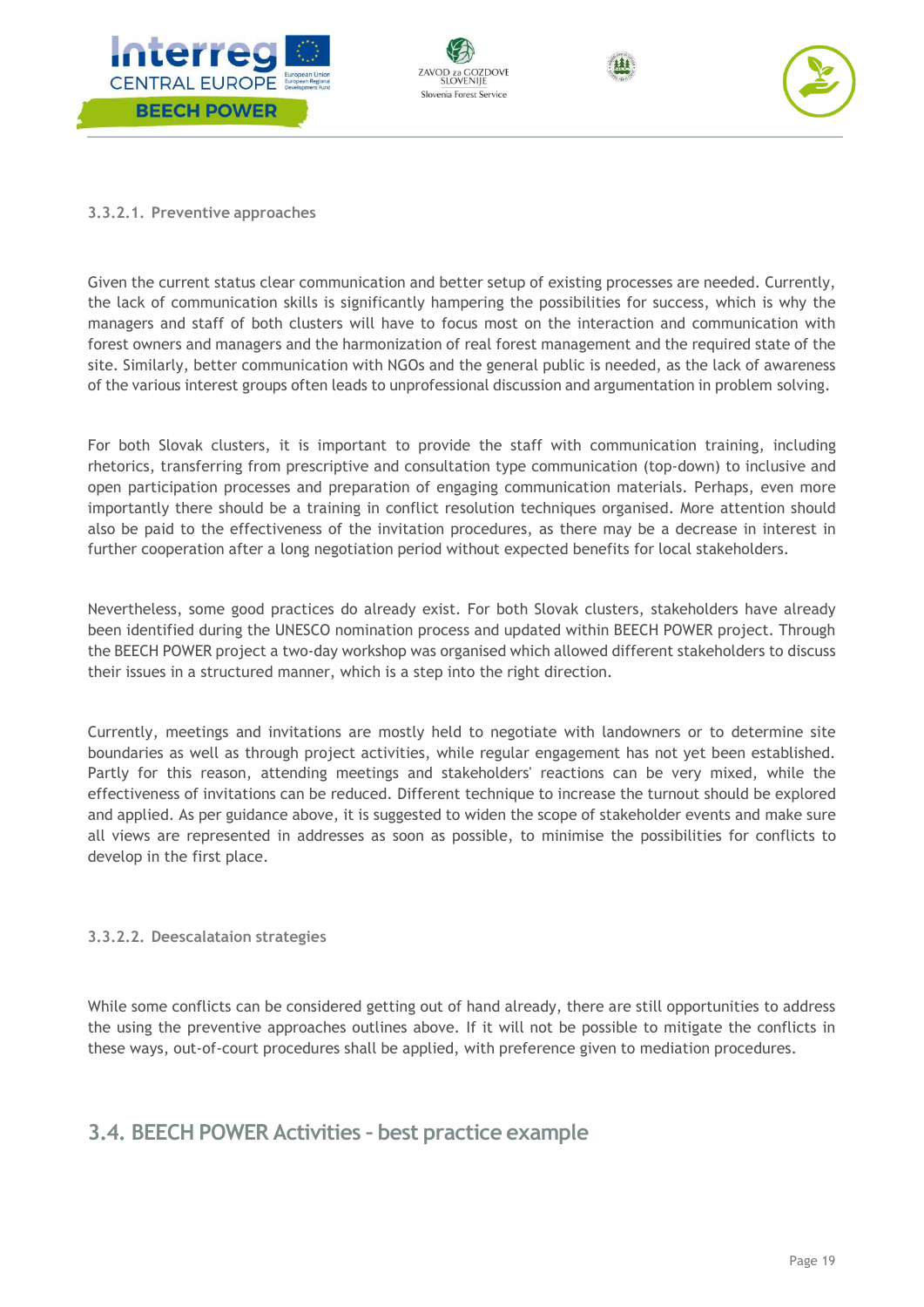







#### <span id="page-19-0"></span>**3.3.2.1. Preventive approaches**

Given the current status clear communication and better setup of existing processes are needed. Currently, the lack of communication skills is significantly hampering the possibilities for success, which is why the managers and staff of both clusters will have to focus most on the interaction and communication with forest owners and managers and the harmonization of real forest management and the required state of the site. Similarly, better communication with NGOs and the general public is needed, as the lack of awareness of the various interest groups often leads to unprofessional discussion and argumentation in problem solving.

For both Slovak clusters, it is important to provide the staff with communication training, including rhetorics, transferring from prescriptive and consultation type communication (top-down) to inclusive and open participation processes and preparation of engaging communication materials. Perhaps, even more importantly there should be a training in conflict resolution techniques organised. More attention should also be paid to the effectiveness of the invitation procedures, as there may be a decrease in interest in further cooperation after a long negotiation period without expected benefits for local stakeholders.

Nevertheless, some good practices do already exist. For both Slovak clusters, stakeholders have already been identified during the UNESCO nomination process and updated within BEECH POWER project. Through the BEECH POWER project a two-day workshop was organised which allowed different stakeholders to discuss their issues in a structured manner, which is a step into the right direction.

Currently, meetings and invitations are mostly held to negotiate with landowners or to determine site boundaries as well as through project activities, while regular engagement has not yet been established. Partly for this reason, attending meetings and stakeholders' reactions can be very mixed, while the effectiveness of invitations can be reduced. Different technique to increase the turnout should be explored and applied. As per guidance above, it is suggested to widen the scope of stakeholder events and make sure all views are represented in addresses as soon as possible, to minimise the possibilities for conflicts to develop in the first place.

#### <span id="page-19-1"></span>**3.3.2.2. Deescalataion strategies**

While some conflicts can be considered getting out of hand already, there are still opportunities to address the using the preventive approaches outlines above. If it will not be possible to mitigate the conflicts in these ways, out-of-court procedures shall be applied, with preference given to mediation procedures.

# <span id="page-19-2"></span>**3.4. BEECH POWER Activities – best practice example**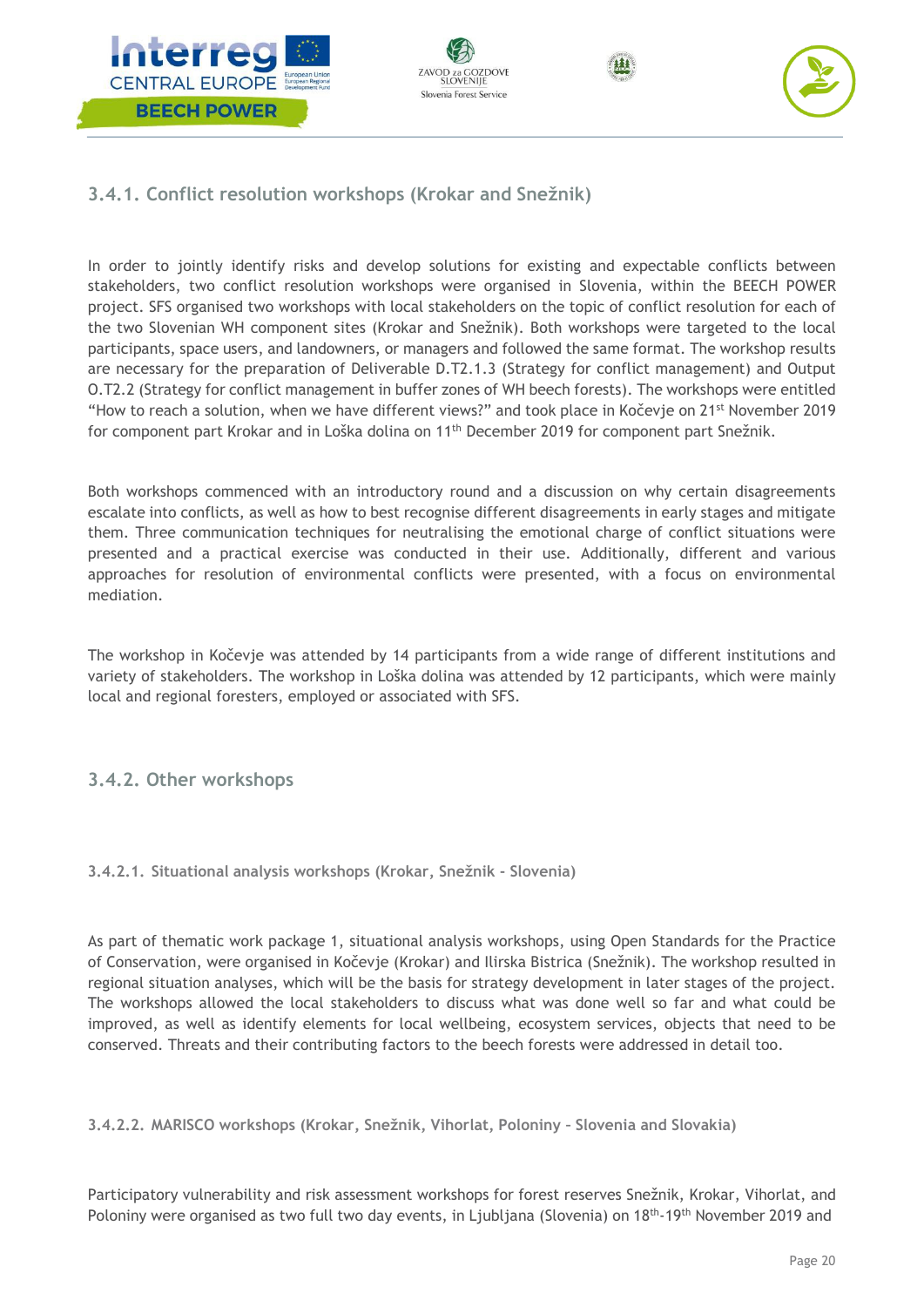







# <span id="page-20-0"></span>**3.4.1. Conflict resolution workshops (Krokar and Snežnik)**

In order to jointly identify risks and develop solutions for existing and expectable conflicts between stakeholders, two conflict resolution workshops were organised in Slovenia, within the BEECH POWER project. SFS organised two workshops with local stakeholders on the topic of conflict resolution for each of the two Slovenian WH component sites (Krokar and Snežnik). Both workshops were targeted to the local participants, space users, and landowners, or managers and followed the same format. The workshop results are necessary for the preparation of Deliverable D.T2.1.3 (Strategy for conflict management) and Output O.T2.2 (Strategy for conflict management in buffer zones of WH beech forests). The workshops were entitled "How to reach a solution, when we have different views?" and took place in Kočevje on 21st November 2019 for component part Krokar and in Loška dolina on 11<sup>th</sup> December 2019 for component part Snežnik.

Both workshops commenced with an introductory round and a discussion on why certain disagreements escalate into conflicts, as well as how to best recognise different disagreements in early stages and mitigate them. Three communication techniques for neutralising the emotional charge of conflict situations were presented and a practical exercise was conducted in their use. Additionally, different and various approaches for resolution of environmental conflicts were presented, with a focus on environmental mediation.

The workshop in Kočevje was attended by 14 participants from a wide range of different institutions and variety of stakeholders. The workshop in Loška dolina was attended by 12 participants, which were mainly local and regional foresters, employed or associated with SFS.

# <span id="page-20-1"></span>**3.4.2. Other workshops**

<span id="page-20-2"></span>**3.4.2.1. Situational analysis workshops (Krokar, Snežnik - Slovenia)**

As part of thematic work package 1, situational analysis workshops, using Open Standards for the Practice of Conservation, were organised in Kočevje (Krokar) and Ilirska Bistrica (Snežnik). The workshop resulted in regional situation analyses, which will be the basis for strategy development in later stages of the project. The workshops allowed the local stakeholders to discuss what was done well so far and what could be improved, as well as identify elements for local wellbeing, ecosystem services, objects that need to be conserved. Threats and their contributing factors to the beech forests were addressed in detail too.

<span id="page-20-3"></span>**3.4.2.2. MARISCO workshops (Krokar, Snežnik, Vihorlat, Poloniny – Slovenia and Slovakia)**

Participatory vulnerability and risk assessment workshops for forest reserves Snežnik, Krokar, Vihorlat, and Poloniny were organised as two full two day events, in Ljubljana (Slovenia) on 18<sup>th</sup>-19<sup>th</sup> November 2019 and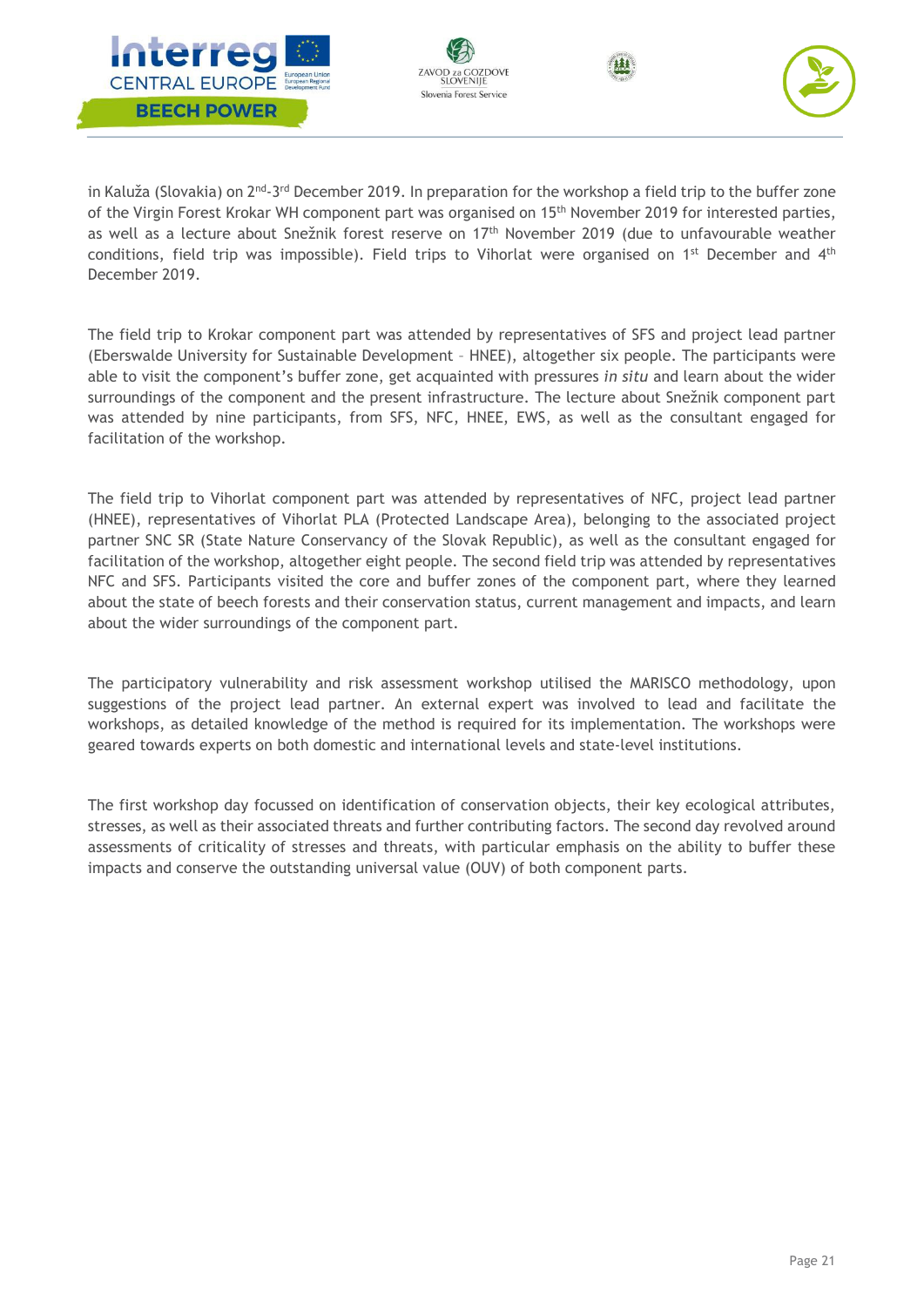







in Kaluža (Slovakia) on 2<sup>nd</sup>-3<sup>rd</sup> December 2019. In preparation for the workshop a field trip to the buffer zone of the Virgin Forest Krokar WH component part was organised on 15<sup>th</sup> November 2019 for interested parties, as well as a lecture about Snežnik forest reserve on 17th November 2019 (due to unfavourable weather conditions, field trip was impossible). Field trips to Vihorlat were organised on  $1^{st}$  December and  $4^{th}$ December 2019.

The field trip to Krokar component part was attended by representatives of SFS and project lead partner (Eberswalde University for Sustainable Development – HNEE), altogether six people. The participants were able to visit the component's buffer zone, get acquainted with pressures *in situ* and learn about the wider surroundings of the component and the present infrastructure. The lecture about Snežnik component part was attended by nine participants, from SFS, NFC, HNEE, EWS, as well as the consultant engaged for facilitation of the workshop.

The field trip to Vihorlat component part was attended by representatives of NFC, project lead partner (HNEE), representatives of Vihorlat PLA (Protected Landscape Area), belonging to the associated project partner SNC SR (State Nature Conservancy of the Slovak Republic), as well as the consultant engaged for facilitation of the workshop, altogether eight people. The second field trip was attended by representatives NFC and SFS. Participants visited the core and buffer zones of the component part, where they learned about the state of beech forests and their conservation status, current management and impacts, and learn about the wider surroundings of the component part.

The participatory vulnerability and risk assessment workshop utilised the MARISCO methodology, upon suggestions of the project lead partner. An external expert was involved to lead and facilitate the workshops, as detailed knowledge of the method is required for its implementation. The workshops were geared towards experts on both domestic and international levels and state-level institutions.

The first workshop day focussed on identification of conservation objects, their key ecological attributes, stresses, as well as their associated threats and further contributing factors. The second day revolved around assessments of criticality of stresses and threats, with particular emphasis on the ability to buffer these impacts and conserve the outstanding universal value (OUV) of both component parts.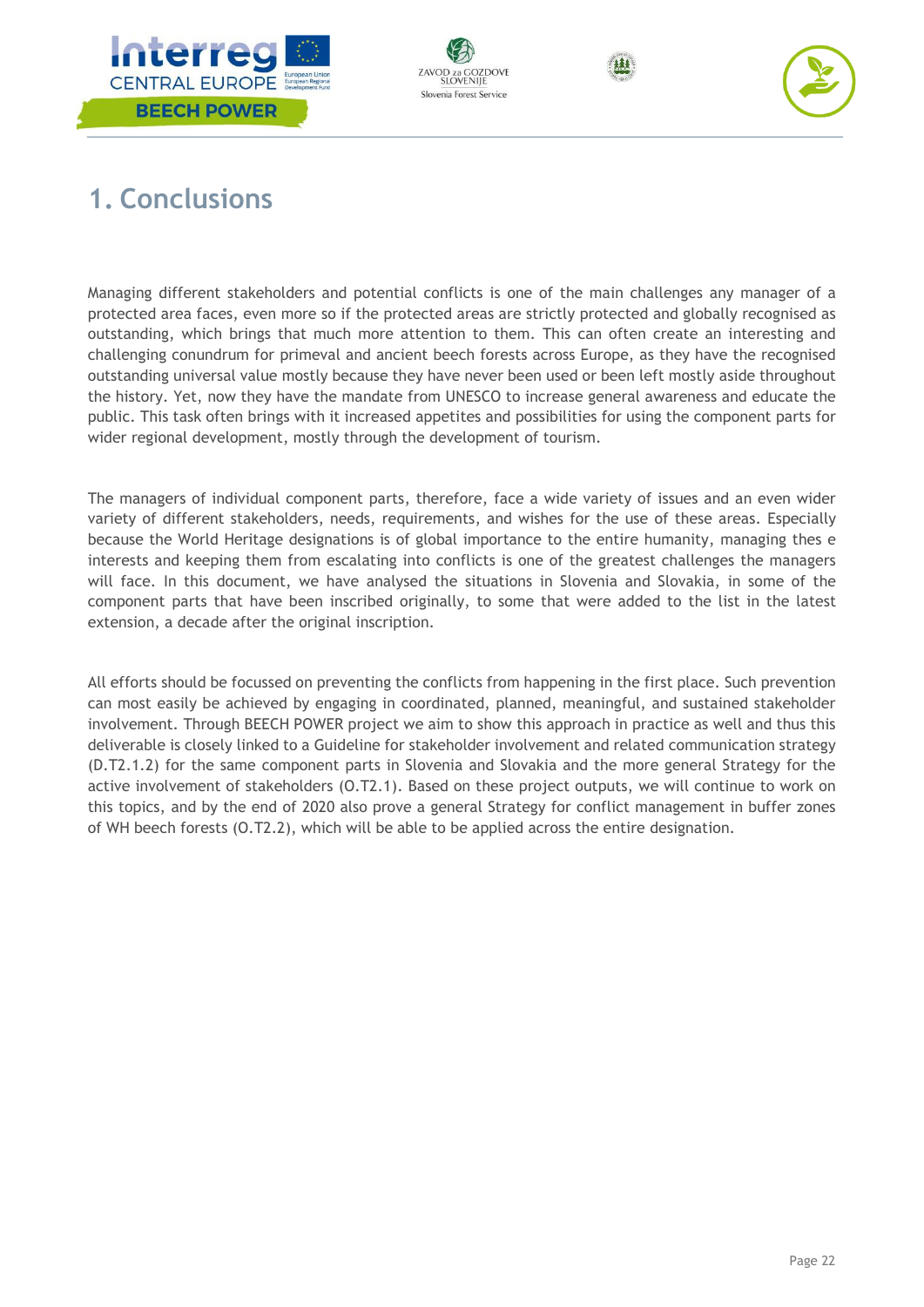







# <span id="page-22-0"></span>**1. Conclusions**

Managing different stakeholders and potential conflicts is one of the main challenges any manager of a protected area faces, even more so if the protected areas are strictly protected and globally recognised as outstanding, which brings that much more attention to them. This can often create an interesting and challenging conundrum for primeval and ancient beech forests across Europe, as they have the recognised outstanding universal value mostly because they have never been used or been left mostly aside throughout the history. Yet, now they have the mandate from UNESCO to increase general awareness and educate the public. This task often brings with it increased appetites and possibilities for using the component parts for wider regional development, mostly through the development of tourism.

The managers of individual component parts, therefore, face a wide variety of issues and an even wider variety of different stakeholders, needs, requirements, and wishes for the use of these areas. Especially because the World Heritage designations is of global importance to the entire humanity, managing thes e interests and keeping them from escalating into conflicts is one of the greatest challenges the managers will face. In this document, we have analysed the situations in Slovenia and Slovakia, in some of the component parts that have been inscribed originally, to some that were added to the list in the latest extension, a decade after the original inscription.

All efforts should be focussed on preventing the conflicts from happening in the first place. Such prevention can most easily be achieved by engaging in coordinated, planned, meaningful, and sustained stakeholder involvement. Through BEECH POWER project we aim to show this approach in practice as well and thus this deliverable is closely linked to a Guideline for stakeholder involvement and related communication strategy (D.T2.1.2) for the same component parts in Slovenia and Slovakia and the more general Strategy for the active involvement of stakeholders (O.T2.1). Based on these project outputs, we will continue to work on this topics, and by the end of 2020 also prove a general Strategy for conflict management in buffer zones of WH beech forests (O.T2.2), which will be able to be applied across the entire designation.